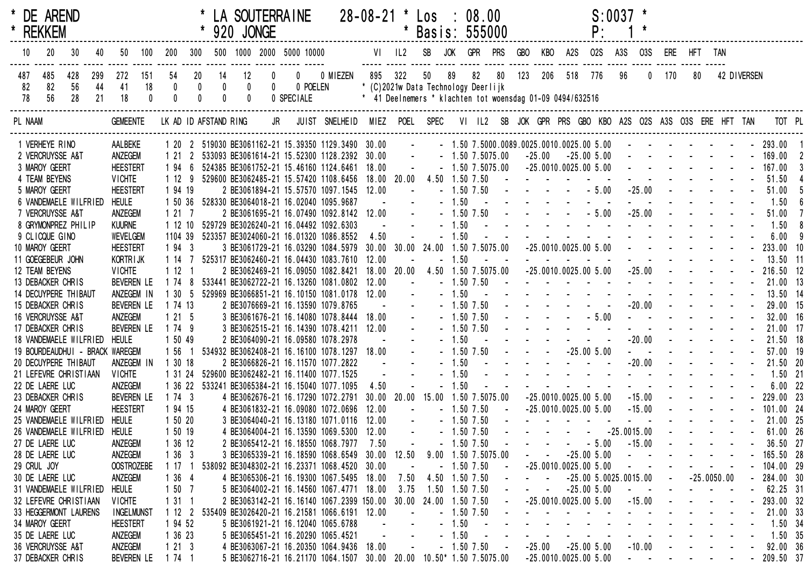| * REKKEM       |          | DE AREND                                  |          |                                 |                   |                        |                        |                                             | 920 JONGE |                | LA SOUTERRAINE                                                                                                   |            | $28 - 08 - 21$ * Los :              |                                                                                            | * Basis: 555000                                           |         | 08.00                                    |           |                                                                                                                                                                                                                                |                          |             | P:                                            | $S:0037$ * |                         |                                 |    |               |             |                                                                 |  |
|----------------|----------|-------------------------------------------|----------|---------------------------------|-------------------|------------------------|------------------------|---------------------------------------------|-----------|----------------|------------------------------------------------------------------------------------------------------------------|------------|-------------------------------------|--------------------------------------------------------------------------------------------|-----------------------------------------------------------|---------|------------------------------------------|-----------|--------------------------------------------------------------------------------------------------------------------------------------------------------------------------------------------------------------------------------|--------------------------|-------------|-----------------------------------------------|------------|-------------------------|---------------------------------|----|---------------|-------------|-----------------------------------------------------------------|--|
| 10             | 20       | 30                                        | 40       | 50                              |                   | 100 200                | 300                    |                                             |           |                | 500 1000 2000 5000 10000                                                                                         |            |                                     |                                                                                            | VI IL2 SB JOK                                             |         | <b>GPR PRS</b>                           |           | <b>GBO</b>                                                                                                                                                                                                                     |                          | KBO A2S     | <b>02S</b>                                    | A3S        | O3S                     | ERE HFT TAN                     |    |               |             |                                                                 |  |
| 487            | 485      | 428                                       | 299      | 272                             | 151               | 54                     | $20\,$                 | 14                                          | 12        | $\overline{0}$ |                                                                                                                  | 0 0 MIEZEN | 895 322                             |                                                                                            | 50                                                        | 89      |                                          | 82 80 123 |                                                                                                                                                                                                                                |                          | 206 518 776 |                                               | 96         |                         | $0$ 170                         | 80 |               | 42 DIVERSEN |                                                                 |  |
| 82<br>78       | 82<br>56 | 56<br>28                                  | 44<br>21 | 41<br>18                        | 18<br>$\mathbf 0$ | $\pmb{0}$<br>$\pmb{0}$ | $\pmb{0}$<br>$\pmb{0}$ | $\begin{smallmatrix}0\0\0\end{smallmatrix}$ | $\pmb{0}$ | $\mathbf{0}$   | 0 POELEN<br>0 SPECIALE                                                                                           |            | * (C)2021w Data Technology Deerlijk |                                                                                            | * 41 Deelnemers * klachten tot woensdag 01-09 0494/632516 |         |                                          |           |                                                                                                                                                                                                                                |                          |             |                                               |            |                         |                                 |    |               |             |                                                                 |  |
| PL NAAM        |          |                                           |          | <b>GEMEENTE</b>                 |                   |                        |                        |                                             |           |                | LK AD ID AFSTAND RING JR JUIST SNELHEID MIEZ POEL SPEC VI IL2 SB JOK GPR PRS GBO KBO A2S O2S A3S O3S ERE HFT TAN |            |                                     |                                                                                            |                                                           |         |                                          |           |                                                                                                                                                                                                                                |                          |             |                                               |            |                         |                                 |    |               |             | TOT PL                                                          |  |
|                |          | 1 VERHEYE RINO                            |          | AALBEKE                         |                   |                        |                        |                                             |           |                | 1 20 2 519030 BE3061162-21 15.39350 1129.3490 30.00 - - 1.50 7.5000.0089.0025.0010.0025.00 5.00                  |            |                                     |                                                                                            |                                                           |         |                                          |           |                                                                                                                                                                                                                                |                          |             |                                               |            |                         |                                 |    |               |             | $        293.00$ 1                                              |  |
|                |          | 2 VERCRUYSSE A&T                          |          | ANZEGEM                         |                   |                        |                        |                                             |           |                | 1 21 2 533093 BE3061614-21 15.52300 1128.2392 30.00 - - 1.50 7.5075.00                                           |            |                                     |                                                                                            |                                                           |         |                                          |           | $-25.00$                                                                                                                                                                                                                       |                          |             | $-25.00\,5.00$                                |            |                         |                                 |    |               |             | $      169.00$ 2                                                |  |
| 3 MAROY GEERT  |          |                                           |          | <b>HEESTERT</b>                 |                   | 1 94 6                 |                        |                                             |           |                | 524385 BE3061752-21 15.46160 1124.6461 18.00                                                                     |            |                                     |                                                                                            | <b>Contractor</b>                                         |         | $-1.5075.00$                             |           |                                                                                                                                                                                                                                |                          |             | $-25.0010.0025.005.00$                        |            |                         |                                 |    |               |             | $      167.00$ 3                                                |  |
| 4 TEAM BEYENS  |          |                                           |          | <b>VICHTE</b>                   |                   | 1 12 9                 |                        |                                             |           |                | 529600 BE3062485-21 15.57420 1108.6456                                                                           |            |                                     |                                                                                            | 18.00 20.00 4.50 1.50 7.50                                |         |                                          |           | $\mathcal{A}$ . The second contribution of the second contribution $\mathcal{A}$                                                                                                                                               |                          |             |                                               |            |                         |                                 |    |               |             | 51.50                                                           |  |
| 5 MAROY GEERT  |          |                                           |          | <b>HEESTERT</b>                 |                   | 1 94 19                |                        |                                             |           |                | 2 BE3061894-21 15.57570 1097.1545 12.00                                                                          |            |                                     | $\sim 100$                                                                                 |                                                           |         | $-1.50$ $7.50$                           |           |                                                                                                                                                                                                                                |                          |             |                                               |            |                         |                                 |    |               |             | 51.00                                                           |  |
|                |          | 6 VANDEMAELE WILFRIED                     |          | <b>HEULE</b>                    |                   | 1 50 36                |                        |                                             |           |                | 528330 BE3064018-21 16.02040 1095.9687                                                                           |            |                                     | <b>Contract Contract</b>                                                                   |                                                           | $-1.50$ |                                          |           | and the state of the state of the                                                                                                                                                                                              |                          |             |                                               |            |                         | and a series of the series of   |    |               |             | 1.50                                                            |  |
|                |          | 7 VERCRUYSSE A&T                          |          | ANZEGEM                         |                   | 1 21 7                 |                        |                                             |           |                | 2 BE3061695-21 16.07490 1092.8142 12.00                                                                          |            |                                     | $\sim 100$                                                                                 |                                                           |         | $-1.507.50$ $    -5.00$ $-25.00$ $    -$ |           |                                                                                                                                                                                                                                |                          |             |                                               |            |                         |                                 |    |               |             | 51.00                                                           |  |
|                |          | 8 GRYMONPREZ PHILIP                       |          | <b>KUURNE</b>                   |                   |                        |                        |                                             |           |                | 1 12 10 529729 BE3026240-21 16.04492 1092.6303                                                                   |            |                                     |                                                                                            |                                                           | $-1.50$ |                                          |           | the contract of the contract of the contract of the<br>and the second contract of the second con-                                                                                                                              |                          |             |                                               |            |                         |                                 |    |               |             | 1.50                                                            |  |
|                |          | 9 CLICQUE GINO                            |          | <b>WEVELGEM</b>                 |                   | 1104 39                |                        |                                             |           |                | 523357 BE3024060-21 16.01320 1086.8552                                                                           |            | 4.50                                |                                                                                            |                                                           | $-1.50$ |                                          |           |                                                                                                                                                                                                                                |                          |             |                                               |            |                         |                                 |    |               |             | 6.009                                                           |  |
| 10 MAROY GEERT |          |                                           |          | <b>HEESTERT</b>                 |                   | 194 3                  |                        |                                             |           |                | 3 BE3061729-21 16.03290 1084.5979                                                                                |            |                                     |                                                                                            | 30.00 30.00 24.00 1.50 7.5075.00                          |         |                                          |           |                                                                                                                                                                                                                                |                          |             |                                               |            |                         |                                 |    |               |             | $-25.0010.0025.005.00 - - - - - - - - - - - - - - - - 233.0010$ |  |
|                |          | 11 GOEGEBEUR JOHN                         |          | KORTR I JK                      |                   | 1147                   |                        |                                             |           |                | 525317 BE3062460-21 16.04430 1083.7610                                                                           |            | 12.00                               |                                                                                            |                                                           | $-1.50$ |                                          |           |                                                                                                                                                                                                                                |                          |             |                                               |            |                         | $-25.00$ - - - -                |    |               |             | $-13.50$ 11                                                     |  |
| 12 TEAM BEYENS |          |                                           |          | <b>VICHTE</b>                   |                   | 1121                   |                        |                                             |           |                | 2 BE3062469-21 16.09050 1082.8421                                                                                |            | 18.00 20.00                         |                                                                                            |                                                           |         | 4.50 1.50 7.5075.00                      |           |                                                                                                                                                                                                                                |                          |             | $-25.0010.0025.005.00$                        |            |                         |                                 |    |               |             | $-216.50$ 12                                                    |  |
|                |          | 13 DEBACKER CHRIS<br>14 DECUYPERE THIBAUT |          | <b>BEVEREN LE</b>               |                   | 1748<br>1305           |                        |                                             |           |                | 533441 BE3062722-21 16.13260 1081.0802 12.00                                                                     |            |                                     |                                                                                            |                                                           |         |                                          |           | the second contract of the second contract of the second contract of the second contract of the second contract of the second contract of the second contract of the second contract of the second contract of the second cont |                          |             |                                               |            |                         |                                 |    |               |             | 21.00 13<br>13.50 14                                            |  |
|                |          | 15 DEBACKER CHRIS                         |          | ANZEGEM IN<br><b>BEVEREN LE</b> |                   | 1 74 13                |                        |                                             |           |                | 529969 BE3066851-21 16.10150 1081.0178 12.00<br>2 BE3076669-21 16.13590 1079.8765                                |            |                                     | $\mathcal{L}^{\mathcal{L}}(\mathbf{z})$ . The same $\mathcal{L}^{\mathcal{L}}(\mathbf{z})$ |                                                           | $-1.50$ | $-1.50$ 7.50                             |           |                                                                                                                                                                                                                                |                          |             |                                               |            |                         | $-20.00$ - - - - -              |    |               |             | 29.00 15                                                        |  |
|                |          | 16 VERCRUYSSE A&T                         |          | ANZEGEM                         |                   | 1215                   |                        |                                             |           |                | 3 BE3061676-21 16.14080 1078.8444 18.00 -                                                                        |            |                                     |                                                                                            |                                                           |         | $-1.50$ 7.50                             |           |                                                                                                                                                                                                                                |                          |             | $   -$ 5.00                                   |            |                         | and a state of the state        |    |               |             | 32.00 16                                                        |  |
|                |          | 17 DEBACKER CHRIS                         |          | BEVEREN LE                      |                   | 1749                   |                        |                                             |           |                | 3 BE3062515-21 16.14390 1078.4211 12.00                                                                          |            |                                     | $\sim 100$                                                                                 |                                                           |         | $-1.50$ 7.50                             |           |                                                                                                                                                                                                                                |                          |             |                                               |            |                         | and a state of the state of the |    |               |             | 21.00 17                                                        |  |
|                |          | 18 VANDEMAELE WILFRIED                    |          | <b>HEULE</b>                    |                   | 1 50 49                |                        |                                             |           |                | 2 BE3064090-21 16.09580 1078.2978                                                                                |            |                                     |                                                                                            |                                                           | $-1.50$ |                                          |           |                                                                                                                                                                                                                                |                          |             | and the contract of the con-                  |            |                         | $-20.00$ - - - - -              |    |               |             | 21.50 18                                                        |  |
|                |          |                                           |          | 19 BOURDEAUDHUI - BRACK WAREGEM |                   |                        |                        |                                             |           |                | 534932 BE3062408-21 16.16100 1078.1297 18.00                                                                     |            |                                     |                                                                                            |                                                           |         | $-1.50$ 7.50                             |           |                                                                                                                                                                                                                                | <b>Contract Contract</b> |             | $-25.005.00$                                  |            |                         | and a state of the state of the |    |               |             | 57.00 19                                                        |  |
|                |          | 20 DECUYPERE THIBAUT                      |          | ANZEGEM IN                      |                   | $1\,56$<br>1 30 18     |                        |                                             |           |                | 2 BE3066826-21 16.11570 1077.2822                                                                                |            | $\sim 100$                          |                                                                                            |                                                           | $-1.50$ |                                          |           | and the state of the state of the                                                                                                                                                                                              |                          |             |                                               |            |                         | $-20.00$ - - - - -              |    |               |             | 21.50 20                                                        |  |
|                |          | 21 LEFEVRE CHRISTIAAN                     |          | <b>VICHTE</b>                   |                   | 1 31 24                |                        |                                             |           |                | 529600 BE3062482-21 16.11400 1077.1525                                                                           |            |                                     |                                                                                            |                                                           | $-1.50$ |                                          |           | the second contract of the second contract of the                                                                                                                                                                              |                          |             |                                               |            |                         |                                 |    |               |             | $1.50$ 21                                                       |  |
|                |          | 22 DE LAERE LUC                           |          | ANZEGEM                         |                   | 1 36 22                |                        |                                             |           |                | 533241 BE3065384-21 16.15040 1077.1095                                                                           |            | 4.50                                |                                                                                            |                                                           | $-1.50$ |                                          |           |                                                                                                                                                                                                                                |                          |             | the second contract of the second contract of |            |                         |                                 |    |               |             | 6.0022                                                          |  |
|                |          | 23 DEBACKER CHRIS                         |          | <b>BEVEREN LE</b>               |                   | 1743                   |                        |                                             |           |                | 4 BE3062676-21 16.17290 1072.2791                                                                                |            | 30.00 20.00                         |                                                                                            |                                                           |         | 15.00 1.50 7.5075.00                     |           |                                                                                                                                                                                                                                |                          |             | $-25.0010.0025.005.00$                        |            |                         | $-15.00$ - - - -                |    |               |             | 229.00 23                                                       |  |
| 24 MAROY GEERT |          |                                           |          | <b>HEESTERT</b>                 |                   | 1 94 15                |                        |                                             |           |                | 4 BE3061832-21 16.09080 1072.0696                                                                                |            | 12.00                               | $\sim$                                                                                     |                                                           |         | $-1.50$ 7.50                             |           | $-25.0010.0025.005.00$                                                                                                                                                                                                         |                          |             |                                               |            | $-15.00$                | and the state of the            |    |               |             | 101.00 24                                                       |  |
|                |          | 25 VANDEMAELE WILFRIED HEULE              |          |                                 |                   | 1 50 20                |                        |                                             |           |                | 3 BE3064040-21 16.13180 1071.0116 12.00                                                                          |            |                                     | $\sim 100$ km s $^{-1}$                                                                    |                                                           |         | $-1.50$ $7.50$                           |           |                                                                                                                                                                                                                                |                          |             |                                               |            |                         |                                 |    |               |             | . 21.00 25                                                      |  |
|                |          | 26 VANDEMAELE WILFRIED HEULE              |          |                                 |                   | 1 50 19                |                        |                                             |           |                | 4 BE3064004-21 16.13590 1069.5300                                                                                |            | 12.00                               |                                                                                            |                                                           |         | $-1.50$ 7.50                             |           |                                                                                                                                                                                                                                |                          |             |                                               |            |                         |                                 |    |               |             | 61.00 26                                                        |  |
|                |          | 27 DE LAERE LUC                           |          | ANZEGEM                         |                   | 1 36 12                |                        |                                             |           |                | 2 BE3065412-21 16.18550 1068.7977 7.50                                                                           |            |                                     |                                                                                            |                                                           |         | $-1.50$ 7.50                             |           |                                                                                                                                                                                                                                |                          |             | $-5.00$                                       |            | $-15.00$                |                                 |    |               |             | 36.50 27                                                        |  |
|                |          | 28 DE LAERE LUC                           |          | ANZEGEM                         |                   | 1363                   |                        |                                             |           |                | 3 BE3065339-21 16.18590 1068.6549                                                                                |            | 30.00 12.50                         |                                                                                            |                                                           |         | 9.00 1.50 7.5075.00                      |           |                                                                                                                                                                                                                                |                          |             | $-25.005.00$                                  |            |                         |                                 |    |               |             | 165.50 28                                                       |  |
| 29 CRUL JOY    |          |                                           |          | <b>OOSTROZEBE</b>               |                   | 1171                   |                        |                                             |           |                | 538092 BE3048302-21 16.23371 1068.4520 30.00                                                                     |            |                                     |                                                                                            |                                                           |         | $-1.50$ 7.50                             |           |                                                                                                                                                                                                                                |                          |             | $-25.0010.0025.005.00$                        |            |                         |                                 |    |               |             | 104.00 29                                                       |  |
|                |          | 30 DE LAERE LUC                           |          | ANZEGEM                         |                   | 1 36 4                 |                        |                                             |           |                | 4 BE3065306-21 16.19300 1067.5495                                                                                |            | 18.00                               | 7.50                                                                                       |                                                           |         | 4.50 1.50 7.50                           |           |                                                                                                                                                                                                                                |                          |             | $-25.005.0025.0015.00$                        |            |                         |                                 |    | $-25.0050.00$ |             | $-284.0030$                                                     |  |
|                |          | 31 VANDEMAELE WILFRIED                    |          | <b>HEULE</b>                    |                   | 1 50 7                 |                        |                                             |           |                | 5 BE3064002-21 16.14560 1067.4771 18.00                                                                          |            |                                     | 3.75                                                                                       |                                                           |         | $1.50$ $1.50$ $7.50$                     |           |                                                                                                                                                                                                                                |                          |             | $-25.005.00$                                  |            |                         |                                 |    |               |             | 62.25 31                                                        |  |
|                |          | 32 LEFEVRE CHRISTIAAN                     |          | <b>VICHTE</b>                   |                   | 1 31 1                 |                        |                                             |           |                | 2 BE3063142-21 16.16140 1067.2399 150.00 30.00                                                                   |            |                                     |                                                                                            |                                                           |         | 24.00 1.50 7.50                          |           |                                                                                                                                                                                                                                |                          |             | $-25.0010.0025.005.00$                        |            | $-15.00$                |                                 |    |               |             | 293.00 32                                                       |  |
|                |          | 33 HEGGERMONT LAURENS                     |          | <b>INGELMUNST</b>               |                   | 1122                   |                        |                                             |           |                | 535409 BE3026420-21 16.21581 1066.6191 12.00                                                                     |            |                                     |                                                                                            |                                                           |         | $-1.50$ 7.50                             |           |                                                                                                                                                                                                                                |                          |             |                                               |            |                         |                                 |    |               |             | 21.00 33                                                        |  |
| 34 MAROY GEERT |          |                                           |          | <b>HEESTERT</b>                 |                   | 1 94 52                |                        |                                             |           |                | 5 BE3061921-21 16.12040 1065.6788                                                                                |            |                                     |                                                                                            |                                                           | $-1.50$ |                                          |           |                                                                                                                                                                                                                                |                          |             |                                               |            |                         |                                 |    |               |             | $1.50$ 34                                                       |  |
|                |          | 35 DE LAERE LUC                           |          | ANZEGEM                         |                   | 1 36 23                |                        |                                             |           |                | 5 BE3065451-21 16.20290 1065.4521                                                                                |            |                                     |                                                                                            |                                                           | $-1.50$ |                                          |           |                                                                                                                                                                                                                                |                          |             |                                               |            |                         |                                 |    |               |             | 1.50 35                                                         |  |
|                |          | 36 VERCRUYSSE A&T                         |          | ANZEGEM                         |                   | 1213                   |                        |                                             |           |                | 4 BE3063067-21 16.20350 1064.9436 18.00                                                                          |            |                                     |                                                                                            |                                                           |         | $-1.50$ 7.50                             |           |                                                                                                                                                                                                                                | $-25.00$                 |             | $-25.005.00$                                  |            | $-10.00$                |                                 |    |               |             | 92.00 36                                                        |  |
|                |          | 37 DEBACKER CHRIS                         |          | Beveren le                      |                   | $174$ 1                |                        |                                             |           |                | 5 BE3062716-21 16.21170 1064.1507 30.00 20.00 10.50* 1.50 7.5075.00                                              |            |                                     |                                                                                            |                                                           |         |                                          |           |                                                                                                                                                                                                                                |                          |             | $-25.0010.0025.005.00$                        |            | $\omega_{\rm{max}}=0.1$ |                                 |    |               |             | $-209.5037$                                                     |  |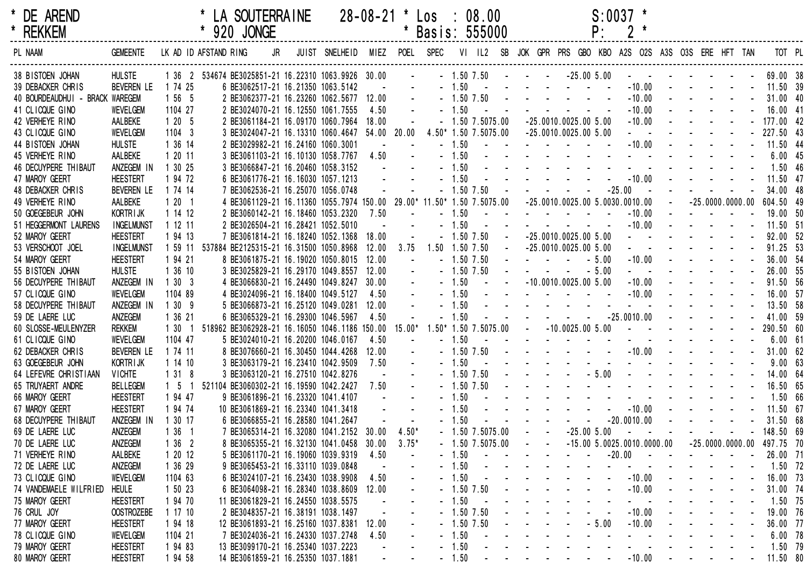| * DE AREND                      | LA SOUTERI*<br>920 JONGE *     |                   | * LA SOUTERRAINE                                                      |    |                                                                                         |       |                | 28-08-21 * Los : 08.00 |              |                                      |                        |                            |         | $S:0037$ *                                                                                                                                                                                                                                |                                 |                                                             |                                                                                           |                                |  |
|---------------------------------|--------------------------------|-------------------|-----------------------------------------------------------------------|----|-----------------------------------------------------------------------------------------|-------|----------------|------------------------|--------------|--------------------------------------|------------------------|----------------------------|---------|-------------------------------------------------------------------------------------------------------------------------------------------------------------------------------------------------------------------------------------------|---------------------------------|-------------------------------------------------------------|-------------------------------------------------------------------------------------------|--------------------------------|--|
| * REKKEM                        |                                |                   |                                                                       |    |                                                                                         |       |                | * Basis: 555000        |              |                                      |                        |                            | P:      |                                                                                                                                                                                                                                           |                                 |                                                             |                                                                                           |                                |  |
| PL NAAM                         | GEMEENTE LK AD ID AFSTAND RING |                   |                                                                       | JR | JUIST SNELHEID MIEZ POEL SPEC VI IL2 SB JOK GPR PRS GBO KBO A2S O2S A3S O3S ERE HFT TAN |       |                |                        |              |                                      |                        |                            |         |                                                                                                                                                                                                                                           |                                 |                                                             |                                                                                           | TOT PL                         |  |
| 38 BISTOEN JOHAN                | <b>HULSTE</b>                  |                   | 1 36 2 534674 BE3025851-21 16.22310 1063.9926 30.00 -                 |    |                                                                                         |       |                |                        |              | $-1.50$ 7.50 $  -25.00$ 5.00         |                        |                            |         | $       -$ 69.00 38                                                                                                                                                                                                                       |                                 |                                                             |                                                                                           |                                |  |
| 39 DEBACKER CHRIS               | BEVEREN LE 174 25              |                   | 6 BE3062517-21 16.21350 1063.5142                                     |    |                                                                                         |       | and a straight |                        |              | $-1.50$ $       -$                   |                        |                            |         |                                                                                                                                                                                                                                           | $-10.00$ $     11.50$ 39        |                                                             |                                                                                           |                                |  |
| 40 BOURDEAUDHUI - BRACK WAREGEM |                                | 1 56 5            | 2 BE3062377-21 16.23260 1062.5677 12.00 -                             |    |                                                                                         |       |                |                        |              | $-1.50$ 7.50 $     -$                |                        |                            |         | $-10.00$                                                                                                                                                                                                                                  |                                 | $\omega_{\rm{max}}$ , and $\omega_{\rm{max}}$               |                                                                                           | 31.00 40                       |  |
| 41 CLICQUE GINO                 | <b>WEVELGEM</b>                | 1104 27           | 2 BE3024070-21 16.12550 1061.7555                                     |    |                                                                                         | 4.50  |                |                        | $-1.50$      |                                      |                        |                            |         | $-10.00$                                                                                                                                                                                                                                  |                                 |                                                             |                                                                                           | 16.00 41                       |  |
| 42 VERHEYE RINO                 | AALBEKE                        | 1205              | 2 BE3061184-21 16.09170 1060.7964                                     |    |                                                                                         | 18.00 | $\sim$         |                        |              | $-1.5075.00$                         |                        | $-25.0010.0025.005.00$     |         | $-10.00$                                                                                                                                                                                                                                  |                                 | $\omega_{\rm{max}} = \omega_{\rm{max}} = \omega_{\rm{max}}$ |                                                                                           | $-177.00$ 42                   |  |
| 43 CLICQUE GINO                 | <b>WEVELGEM</b>                | $1104 - 3$        | 3 BE3024047-21 16.13310 1060.4647 54.00 20.00                         |    |                                                                                         |       |                |                        |              | 4.50* 1.50 7.5075.00                 |                        | $-25.0010.0025.005.00$     |         | $\omega_{\rm{max}}$                                                                                                                                                                                                                       |                                 |                                                             |                                                                                           | $-227.50$ 43                   |  |
| 44 BISTOEN JOHAN                | <b>HULSTE</b>                  | 1 36 14           | 2 BE3029982-21 16.24160 1060.3001                                     |    |                                                                                         |       |                |                        |              |                                      |                        |                            |         |                                                                                                                                                                                                                                           |                                 |                                                             |                                                                                           | 11.50 44                       |  |
| 45 VERHEYE RINO                 | AALBEKE                        | 1 20 11           | 3 BE3061103-21 16.10130 1058.7767                                     |    |                                                                                         | 4.50  |                |                        | $-1.50$      |                                      |                        |                            |         | the contract of the contract of the contract of the                                                                                                                                                                                       |                                 |                                                             |                                                                                           | 6.0045                         |  |
| 46 DECUYPERE THIBAUT            | ANZEGEM IN                     | 1 30 25           | 3 BE3066847-21 16.20460 1058.3152                                     |    |                                                                                         |       |                |                        | $-1.50$      |                                      |                        |                            |         | $\mathcal{L}^{\mathcal{A}}$ . The set of the set of the set of the set of the set of the set of the set of the set of the set of the set of the set of the set of the set of the set of the set of the set of the set of the set of the s |                                 |                                                             |                                                                                           | 1.50 46                        |  |
| 47 MAROY GEERT                  | <b>HEESTERT</b>                | 1 94 72           | 6 BE3061776-21 16.16030 1057.1213                                     |    |                                                                                         |       |                |                        | $-1.50$      |                                      |                        |                            |         |                                                                                                                                                                                                                                           |                                 |                                                             |                                                                                           | 11.50 47                       |  |
| 48 DEBACKER CHRIS               | <b>BEVEREN LE</b>              | 1 74 14           | 7 BE3062536-21 16.25070 1056.0748                                     |    |                                                                                         |       |                |                        | $-1.50$ 7.50 |                                      |                        |                            |         | $-25.00 -$                                                                                                                                                                                                                                |                                 |                                                             |                                                                                           | 34.00 48                       |  |
| 49 VERHEYE RINO                 | AALBEKE                        | 1201              | 4 BE3061129-21 16.11360 1055.7974 150.00 29.00* 11.50* 1.50 7.5075.00 |    |                                                                                         |       |                |                        |              |                                      |                        |                            |         | $-25.0010.0025.005.0030.0010.00$                                                                                                                                                                                                          | $\sim$                          |                                                             | $-25.0000.0000.00$                                                                        | 604.50 49                      |  |
| 50 GOEGEBEUR JOHN               | <b>KORTRIJK</b>                | 1 14 12           | 2 BE3060142-21 16.18460 1053.2320 7.50                                |    |                                                                                         |       |                |                        | $-1.50$      | المنابعة المتناسب المناسبة والمتناسب |                        |                            |         | $-10.00$                                                                                                                                                                                                                                  |                                 |                                                             |                                                                                           | 19.00 50                       |  |
| 51 HEGGERMONT LAURENS           | <b>INGELMUNST</b>              | 1 12 11           | 2 BE3026504-21 16.28421 1052.5010                                     |    |                                                                                         |       |                |                        | $-1.50$      |                                      |                        |                            |         | $-10.00$                                                                                                                                                                                                                                  |                                 | and a straight and                                          |                                                                                           | 11.50 51                       |  |
| 52 MAROY GEERT                  | <b>HEESTERT</b>                | 1 94 13           | 7 BE3061814-21 16.18240 1052.1368 18.00                               |    |                                                                                         |       | $\sim 100$     |                        | $-1.50$ 7.50 |                                      | $-25.0010.0025.005.00$ |                            |         |                                                                                                                                                                                                                                           | and a state of the state of the |                                                             |                                                                                           | 92.00 52                       |  |
| 53 VERSCHOOT JOEL               | <b>INGELMUNST</b>              | 1 59 11           | 537884 BE2125315-21 16.31500 1050.8968                                |    |                                                                                         | 12.00 | 3.75           | 1.50 1.50 7.50         |              |                                      | $\sim 10^{-10}$        | $-25.0010.0025.005.00$     |         |                                                                                                                                                                                                                                           | المنابذ المنابذ المنابذ المنابذ |                                                             |                                                                                           | 91.25 53                       |  |
| 54 MAROY GEERT                  | <b>HEESTERT</b>                | 1 94 21           | 8 BE3061875-21 16.19020 1050.8015                                     |    |                                                                                         | 12.00 |                |                        | $-1.50$ 7.50 |                                      |                        |                            | $-5.00$ |                                                                                                                                                                                                                                           | $-10.00$ $   -$                 |                                                             |                                                                                           | 36.00 54                       |  |
| 55 BISTOEN JOHAN                | <b>HULSTE</b>                  | 1 36 10           | 3 BE3025829-21 16.29170 1049.8557                                     |    |                                                                                         | 12.00 | $\sim$         |                        | $-1.50$ 7.50 |                                      |                        |                            | $-5.00$ |                                                                                                                                                                                                                                           | and a straight and a straight   |                                                             |                                                                                           | 26.00 55                       |  |
| 56 DECUYPERE THIBAUT            | ANZEGEM IN                     | 1303              | 4 BE3066830-21 16.24490 1049.8247                                     |    |                                                                                         | 30.00 | $\sim$         |                        | $-1.50$      | $  -$ 10.0010.0025.00 5.00           |                        |                            |         | $-10.00$                                                                                                                                                                                                                                  |                                 |                                                             |                                                                                           | 91.50 56                       |  |
| 57 CLICQUE GINO                 | <b>WEVELGEM</b>                | 1104 89           | 4 BE3024096-21 16.18400 1049.5127                                     |    |                                                                                         | 4.50  |                |                        | $-1.50$      | the company of the company of the    |                        |                            |         | $-10.00$                                                                                                                                                                                                                                  |                                 | $\Delta \phi = \Delta \phi = \Delta \phi = \Delta \phi$     |                                                                                           | 16.00 57                       |  |
| 58 DECUYPERE THIBAUT            | ANZEGEM IN                     | 1309              | 5 BE3066873-21 16.25120 1049.0281                                     |    |                                                                                         | 12.00 |                |                        | $-1.50$      |                                      |                        |                            |         | the contract of the contract of the contract of                                                                                                                                                                                           |                                 |                                                             |                                                                                           | 13.50 58                       |  |
| 59 DE LAERE LUC                 | ANZEGEM                        | 1 36 21           | 6 BE3065329-21 16.29300 1046.5967                                     |    |                                                                                         | 4.50  |                |                        | $-1.50$      |                                      |                        |                            |         |                                                                                                                                                                                                                                           |                                 |                                                             |                                                                                           | 41.00 59                       |  |
| 60 SLOSSE-MEULENYZER            | rekkem                         | 1301              | 518962 BE3062928-21 16.16050 1046.1186 150.00 15.00*                  |    |                                                                                         |       |                |                        |              | $1.50*$ 1.50 7.5075.00               |                        |                            |         | $ -10.0025.005.00$ $        290.5060$                                                                                                                                                                                                     |                                 |                                                             |                                                                                           |                                |  |
| 61 CLICQUE GINO                 | <b>WEVELGEM</b>                | 1104 47           | 5 BE3024010-21 16.20200 1046.0167                                     |    |                                                                                         | 4.50  |                |                        | $-1.50$      |                                      |                        |                            |         | and the contract of the contract of the contract of                                                                                                                                                                                       |                                 |                                                             |                                                                                           | 6.0061                         |  |
| 62 DEBACKER CHRIS               | <b>BEVEREN LE</b>              | 1 74 11           | 8 BE3076660-21 16.30450 1044.4268                                     |    |                                                                                         | 12.00 |                |                        | $-1.50$ 7.50 |                                      |                        |                            |         |                                                                                                                                                                                                                                           |                                 |                                                             |                                                                                           | 31.00 62                       |  |
| 63 GOEGEBEUR JOHN               | KORTR I JK                     | 1 14 10           | 3 BE3063179-21 16.23410 1042.9509                                     |    |                                                                                         | 7.50  |                |                        | $-1.50$      |                                      |                        |                            |         | and the contract of the contract of the                                                                                                                                                                                                   |                                 |                                                             |                                                                                           | 9.0063                         |  |
| 64 LEFEVRE CHRISTIAAN           | <b>VICHTE</b>                  | 1 3 1 8           | 3 BE3063120-21 16.27510 1042.8276                                     |    |                                                                                         |       |                |                        | $-1.50$ 7.50 |                                      |                        |                            |         |                                                                                                                                                                                                                                           |                                 |                                                             |                                                                                           | 14.00 64                       |  |
| 65 TRUYAERT ANDRE               | <b>BELLEGEM</b>                | $1\quad 5\quad 1$ | 521104 BE3060302-21 16.19590 1042.2427                                |    |                                                                                         | 7.50  |                |                        | $-1.50$ 7.50 |                                      |                        |                            |         |                                                                                                                                                                                                                                           |                                 |                                                             |                                                                                           | 16.50 65                       |  |
| 66 MAROY GEERT                  | <b>HEESTERT</b>                | 1 94 47           | 9 BE3061896-21 16.23320 1041.4107                                     |    |                                                                                         |       |                |                        | $-1.50$      |                                      |                        |                            |         |                                                                                                                                                                                                                                           |                                 |                                                             |                                                                                           | 1.50 66                        |  |
| 67 MAROY GEERT                  | <b>HEESTERT</b>                | 1 94 74           | 10 BE3061869-21 16.23340 1041.3418                                    |    |                                                                                         |       |                |                        | $-1.50$      |                                      |                        |                            |         |                                                                                                                                                                                                                                           | $-10.00$ $    -$                |                                                             |                                                                                           | 11.50 67                       |  |
| 68 DECUYPERE THIBAUT            | ANZEGEM IN                     | 1 30 17           | 6 BE3066855-21 16.28580 1041.2647                                     |    |                                                                                         |       |                |                        | $-1.50$      |                                      |                        | and the state of the state |         | $-20.0010.00$                                                                                                                                                                                                                             |                                 |                                                             | $\mathbf{L}^{\text{max}}$ , and $\mathbf{L}^{\text{max}}$ , and $\mathbf{L}^{\text{max}}$ | 31.50 68                       |  |
| 69 DE LAERE LUC                 | ANZEGEM                        | 1 <sub>36</sub>   | 7 BE3065314-21 16.32080 1041.2152 30.00                               |    |                                                                                         |       | $4.50*$        |                        |              | $-1.50$ 7.5075.00                    |                        |                            |         | $-25.005.00 - -$                                                                                                                                                                                                                          |                                 |                                                             |                                                                                           | 148.50 69                      |  |
| 70 DE LAERE LUC                 | ANZEGEM                        | 1362              | 8 BE3065355-21 16.32130 1041.0458                                     |    |                                                                                         | 30.00 | $3.75*$        |                        |              | $-1.5075.00$                         |                        |                            |         | $-15.00$ $5.0025.0010.0000.00$                                                                                                                                                                                                            |                                 |                                                             |                                                                                           | $-25.0000.0000.00$ $497.75$ 70 |  |
| 71 VERHEYE RINO                 | AALBEKE                        | 1 20 12           | 5 BE3061170-21 16.19060 1039.9319                                     |    |                                                                                         | 4.50  |                |                        | $-1.50$      |                                      |                        |                            |         | $-20.00$                                                                                                                                                                                                                                  |                                 |                                                             |                                                                                           | 26.00 71                       |  |
| 72 DE LAERE LUC                 | ANZEGEM                        | 1 36 29           | 9 BE3065453-21 16.33110 1039.0848                                     |    |                                                                                         |       |                |                        | $-1.50$      |                                      |                        |                            |         |                                                                                                                                                                                                                                           |                                 |                                                             |                                                                                           | $1.50$ 72                      |  |
| 73 CLICQUE GINO                 | <b>WEVELGEM</b>                | 1104 63           | 6 BE3024107-21 16.23430 1038.9908                                     |    |                                                                                         | 4.50  |                |                        | $-1.50$      |                                      |                        |                            |         | $-10.00$                                                                                                                                                                                                                                  |                                 |                                                             |                                                                                           | 16.00 73                       |  |
| 74 VANDEMAELE WILFRIED          | <b>HEULE</b>                   | 1 50 23           | 6 BE3064098-21 16.28340 1038.8609                                     |    |                                                                                         | 12.00 |                |                        | $-1.50$ 7.50 |                                      |                        |                            |         | $-10.00$                                                                                                                                                                                                                                  |                                 |                                                             |                                                                                           | 31.00 74                       |  |
| 75 MAROY GEERT                  | <b>HEESTERT</b>                | 1 94 70           | 11 BE3061829-21 16.24550 1038.5575                                    |    |                                                                                         |       |                |                        | $-1.50$      |                                      |                        |                            |         |                                                                                                                                                                                                                                           |                                 |                                                             |                                                                                           | 1.50 75                        |  |
| 76 CRUL JOY                     | <b>OOSTROZEBE</b>              | 11710             | 2 BE3048357-21 16.38191 1038.1497                                     |    |                                                                                         |       |                |                        | $-1.50$ 7.50 |                                      |                        |                            |         | $-10.00$                                                                                                                                                                                                                                  |                                 |                                                             |                                                                                           | 19.00 76                       |  |
| 77 MAROY GEERT                  | <b>HEESTERT</b>                | 1 94 18           | 12 BE3061893-21 16.25160 1037.8381                                    |    |                                                                                         | 12.00 |                |                        | $-1.50$ 7.50 |                                      |                        |                            | $-5.00$ | $-10.00$                                                                                                                                                                                                                                  |                                 |                                                             |                                                                                           | 36.00 77                       |  |
| 78 CLICQUE GINO                 | <b>WEVELGEM</b>                | 1104 21           | 7 BE3024036-21 16.24330 1037.2748                                     |    |                                                                                         | 4.50  |                |                        | $-1.50$      |                                      |                        |                            |         |                                                                                                                                                                                                                                           |                                 |                                                             |                                                                                           | $6.00$ 78                      |  |
| 79 MAROY GEERT                  | <b>HEESTERT</b>                | 1 94 83           | 13 BE3099170-21 16.25340 1037.2223                                    |    |                                                                                         |       |                |                        | $-1.50$      |                                      |                        |                            |         |                                                                                                                                                                                                                                           |                                 |                                                             |                                                                                           | 1.50 79                        |  |
| 80 MAROY GEERT                  | <b>HEESTERT</b>                | 1 94 58           | 14 BE3061859-21 16.25350 1037.1881                                    |    |                                                                                         |       |                |                        | $-1.50$      |                                      |                        |                            |         | $-10.00$                                                                                                                                                                                                                                  |                                 |                                                             |                                                                                           | 11.50 80                       |  |
|                                 |                                |                   |                                                                       |    |                                                                                         |       |                |                        |              |                                      |                        |                            |         |                                                                                                                                                                                                                                           |                                 |                                                             |                                                                                           |                                |  |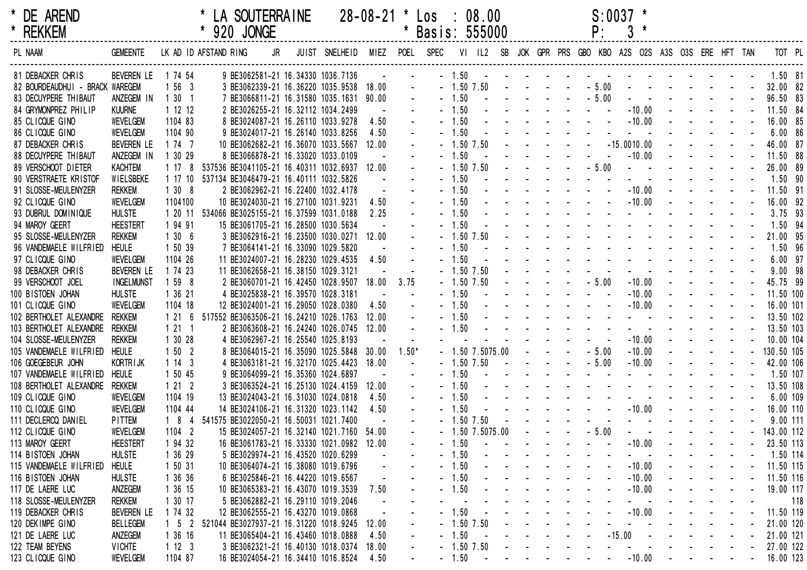| * DE AREND<br>* REKKEM          |                    |                       | * LA SOUTERRAINE<br>* 920 JONGE              |    |                               | $28 - 08 - 21$ |         | $\textsf{Los} \div 08.00$<br>Basis: 555000 |         |                   |  |                                                                                         | P:                                                                                                                                                                                                                                        | $S:0037$ * |                                                                                                                       |  |             |     |
|---------------------------------|--------------------|-----------------------|----------------------------------------------|----|-------------------------------|----------------|---------|--------------------------------------------|---------|-------------------|--|-----------------------------------------------------------------------------------------|-------------------------------------------------------------------------------------------------------------------------------------------------------------------------------------------------------------------------------------------|------------|-----------------------------------------------------------------------------------------------------------------------|--|-------------|-----|
| PL NAAM                         | <b>GEMEENTE</b>    | LK AD ID AFSTAND RING |                                              | JR | JUIST SNELHEID MIEZ POEL SPEC |                |         |                                            |         |                   |  |                                                                                         | VI IL2 SB JOK GPR PRS GBO KBO A2S O2S A3S O3S ERE HFT TAN                                                                                                                                                                                 |            |                                                                                                                       |  | TOT PL      |     |
| 81 DEBACKER CHRIS               | BEVEREN LE 1 74 54 |                       | 9 BE3062581-21 16.34330 1036.7136            |    |                               |                | $\sim$  |                                            |         |                   |  |                                                                                         | $-1.50$ 1.50 81                                                                                                                                                                                                                           |            |                                                                                                                       |  |             |     |
| 82 BOURDEAUDHUI - BRACK WAREGEM |                    | 1563                  | 3 BE3062339-21 16.36220 1035.9538 18.00      |    |                               |                | $\sim$  |                                            |         | $-1.50$ $7.50$    |  |                                                                                         |                                                                                                                                                                                                                                           |            |                                                                                                                       |  | 32.00 82    |     |
| 83 DECUYPERE THIBAUT            | ANZEGEM IN         | 1301                  | 7 BE3066811-21 16.31580 1035.1631 90.00      |    |                               |                |         |                                            | $-1.50$ |                   |  |                                                                                         | $-5.00$                                                                                                                                                                                                                                   |            | and the contract of the con-                                                                                          |  | 96.50 83    |     |
| 84 GRYMONPREZ PHILIP            | <b>KUURNE</b>      | 1 12 12               | 2 BE3026255-21 16.32112 1034.2499            |    |                               |                |         |                                            | $-1.50$ |                   |  |                                                                                         |                                                                                                                                                                                                                                           |            | $-10.00$ $   -$                                                                                                       |  | 11.50 84    |     |
| 85 CLICQUE GINO                 | <b>WEVELGEM</b>    | 1104 83               | 8 BE3024087-21 16.26110 1033.9278            |    |                               | 4.50           |         |                                            | $-1.50$ |                   |  |                                                                                         | $       -$ 10.00                                                                                                                                                                                                                          |            | and the state of the state                                                                                            |  | 16.00 85    |     |
| 86 CLICQUE GINO                 | <b>WEVELGEM</b>    | 1104 90               | 9 BE3024017-21 16.26140 1033.8256            |    |                               | 4.50           |         |                                            | $-1.50$ |                   |  |                                                                                         | design and a series of the series of the series                                                                                                                                                                                           |            |                                                                                                                       |  | 6.0086      |     |
| 87 DEBACKER CHRIS               | <b>BEVEREN LE</b>  | 1747                  | 10 BE3062682-21 16.36070 1033.5667           |    |                               | 12.00          |         |                                            |         | $-1.50$ 7.50      |  |                                                                                         | $       15.0010.00$ $   -$                                                                                                                                                                                                                |            |                                                                                                                       |  | 46.00 87    |     |
| 88 DECUYPERE THIBAUT            | ANZEGEM IN         | 1 30 29               | 8 BE3066878-21 16.33020 1033.0109            |    |                               |                |         |                                            |         |                   |  |                                                                                         | $      10.00$ $   -$                                                                                                                                                                                                                      |            |                                                                                                                       |  | 11.50 88    |     |
| 89 VERSCHOOT DIETER             | <b>KACHTEM</b>     | 1178                  | 537536 BE3041105-21 16.40311 1032.6937 12.00 |    |                               |                |         |                                            |         | $-1.50$ 7.50      |  |                                                                                         | $     5.00$ $       -$                                                                                                                                                                                                                    |            |                                                                                                                       |  | 26.00 89    |     |
| 90 VERSTRAETE KRISTOF           | WIELSBEKE          | 11710                 | 537134 BE3046479-21 16.40111 1032.5826       |    |                               |                |         |                                            | $-1.50$ |                   |  |                                                                                         | the second contract of the second contract of                                                                                                                                                                                             |            |                                                                                                                       |  | $1.50$ 90   |     |
| 91 SLOSSE-MEULENYZER            | <b>REKKEM</b>      | 1308                  | 2 BE3062962-21 16.22400 1032.4178            |    |                               |                |         |                                            | $-1.50$ |                   |  |                                                                                         |                                                                                                                                                                                                                                           |            |                                                                                                                       |  | 11.50 91    |     |
| 92 CLICQUE GINO                 | <b>WEVELGEM</b>    | 1104100               | 10 BE3024030-21 16.27100 1031.9231           |    |                               | 4.50           |         |                                            | $-1.50$ |                   |  |                                                                                         |                                                                                                                                                                                                                                           |            |                                                                                                                       |  | 16.00 92    |     |
| 93 DUBRUL DOMINIQUE             | <b>HULSTE</b>      | 1 20 11               | 534066 BE3025155-21 16.37599 1031.0188       |    |                               | 2.25           |         |                                            | $-1.50$ |                   |  |                                                                                         | design and a state of the state of the state                                                                                                                                                                                              |            |                                                                                                                       |  | 3.75 93     |     |
| 94 MAROY GEERT                  | <b>HEESTERT</b>    | 1 94 91               | 15 BE3061705-21 16.28500 1030.5634           |    |                               |                |         |                                            | $-1.50$ |                   |  |                                                                                         | and the second contract of the second second                                                                                                                                                                                              |            |                                                                                                                       |  | 1.50 94     |     |
| 95 SLOSSE-MEULENYZER            | <b>REKKEM</b>      | 1306                  | 3 BE3062916-21 16.23500 1030.0271 12.00      |    |                               |                |         |                                            |         | $-1.50$ 7.50      |  |                                                                                         | and the contract of the contract of the                                                                                                                                                                                                   |            |                                                                                                                       |  | 21.00 95    |     |
| 96 VANDEMAELE WILFRIED          | <b>HEULE</b>       | 1 50 39               | 7 BE3064141-21 16.33090 1029.5820            |    |                               |                |         |                                            | $-1.50$ |                   |  |                                                                                         | and the contract of the contract of the                                                                                                                                                                                                   |            |                                                                                                                       |  | 1.50 96     |     |
| 97 CLICQUE GINO                 | <b>WEVELGEM</b>    | 1104 26               | 11 BE3024007-21 16.28230 1029.4535           |    |                               | 4.50           |         |                                            | $-1.50$ |                   |  |                                                                                         | and the contract of the contract of the                                                                                                                                                                                                   |            |                                                                                                                       |  | $6.00$ 97   |     |
| 98 DEBACKER CHRIS               | <b>BEVEREN LE</b>  | 1 74 23               | 11 BE3062658-21 16.38150 1029.3121           |    |                               |                |         |                                            |         | $-1.50$ 7.50      |  |                                                                                         | and the second contract of the second second                                                                                                                                                                                              |            |                                                                                                                       |  | $9.00$ $98$ |     |
| 99 VERSCHOOT JOEL               | <b>INGELMUNST</b>  | 1598                  | 2 BE3060701-21 16.42450 1028.9507            |    |                               | 18.00          | 3.75    |                                            |         | $-1.50$ $7.50$    |  | $\mathcal{L}^{\text{max}}_{\text{max}}$ , where $\mathcal{L}^{\text{max}}_{\text{max}}$ | $-5.00$                                                                                                                                                                                                                                   |            | $-10.00$ $    -$                                                                                                      |  | 45.75 99    |     |
| 100 BISTOEN JOHAN               | <b>HULSTE</b>      | 1 36 21               | 4 BE3025838-21 16.39570 1028.3181            |    |                               |                |         |                                            | $-1.50$ |                   |  |                                                                                         |                                                                                                                                                                                                                                           | $-10.00$   | $\mathbf{1}^{\prime}$ , $\mathbf{1}^{\prime}$ , $\mathbf{1}^{\prime}$ , $\mathbf{1}^{\prime}$ , $\mathbf{1}^{\prime}$ |  | 11.50 100   |     |
| 101 CLICQUE GINO                | <b>WEVELGEM</b>    | 1104 18               | 12 BE3024001-21 16.29050 1028.0380           |    |                               | 4.50           |         |                                            | $-1.50$ |                   |  |                                                                                         | the contract of the contract of                                                                                                                                                                                                           | $-10.00$   | <b>Contract Contract</b>                                                                                              |  | 16.00 101   |     |
| 102 BERTHOLET ALEXANDRE         | <b>REKKEM</b>      | 121<br>- 6            | 517552 BE3063506-21 16.24210 1026.1763       |    |                               | 12.00          |         |                                            | $-1.50$ |                   |  |                                                                                         | the second contract of the second contract of the second second contract of the second second second second second second second second second second second second second second second second second second second second se            |            |                                                                                                                       |  | 13.50 102   |     |
| 103 BERTHOLET ALEXANDRE         | <b>REKKEM</b>      | 1211                  | 2 BE3063608-21 16.24240 1026.0745 12.00      |    |                               |                |         |                                            | $-1.50$ |                   |  |                                                                                         | $\mathcal{L}^{\mathcal{A}}$ . The set of the set of the set of the set of the set of the set of the set of the set of the set of the set of the set of the set of the set of the set of the set of the set of the set of the set of the s |            |                                                                                                                       |  | 13.50 103   |     |
| 104 SLOSSE-MEULENYZER           | <b>REKKEM</b>      | 1 30 28               | 4 BE3062967-21 16.25540 1025.8193            |    |                               |                |         |                                            |         |                   |  |                                                                                         |                                                                                                                                                                                                                                           | $-10.00$   | $\mathcal{L}^{\text{max}}(\mathcal{L}^{\text{max}}(\mathcal{L}^{\text{max}}))$                                        |  | 10.00 104   |     |
| 105 VANDEMAELE WILFRIED         | <b>HEULE</b>       | 1502                  | 8 BE3064015-21 16.35090 1025.5848            |    |                               | 30.00          | $1.50*$ |                                            |         | $-1.5075.00$      |  |                                                                                         | $-5.00$                                                                                                                                                                                                                                   | $-10.00$   | $\mathbf{1}^{\prime}$ , $\mathbf{1}^{\prime}$ , $\mathbf{1}^{\prime}$ , $\mathbf{1}^{\prime}$ , $\mathbf{1}^{\prime}$ |  | 130.50 105  |     |
| 106 GOEGEBEUR JOHN              | <b>KORTRIJK</b>    | 1143                  | 4 BE3063181-21 16.32170 1025.4423            |    |                               | 18.00          |         |                                            |         | $-1.50$ 7.50      |  |                                                                                         | $-5.00$                                                                                                                                                                                                                                   | $-10.00$   | $\mathbf{1}^{\prime}$ , $\mathbf{1}^{\prime}$ , $\mathbf{1}^{\prime}$ , $\mathbf{1}^{\prime}$ , $\mathbf{1}^{\prime}$ |  | 42.00 106   |     |
| 107 VANDEMAELE WILFRIED         | <b>HEULE</b>       | 1 50 45               | 9 BE3064099-21 16.35360 1024.6897            |    |                               |                |         |                                            | $-1.50$ |                   |  |                                                                                         | the contract of the contract of the contract of the                                                                                                                                                                                       |            |                                                                                                                       |  | 1.50 107    |     |
| 108 BERTHOLET ALEXANDRE         | <b>REKKEM</b>      | 1212                  | 3 BE3063524-21 16.25130 1024.4159            |    |                               | 12.00          |         |                                            | $-1.50$ |                   |  |                                                                                         | the second contract of the second contract of the second contract of the second contract of the second contract of the second contract of the second contract of the second contract of the second contract of the second cont            |            |                                                                                                                       |  | 13.50 108   |     |
| 109 CLICQUE GINO                | <b>WEVELGEM</b>    | 1104 19               | 13 BE3024043-21 16.31030 1024.0818           |    |                               | 4.50           |         |                                            | $-1.50$ |                   |  |                                                                                         | and the contract of the contract of the                                                                                                                                                                                                   |            |                                                                                                                       |  | 6.00 109    |     |
| 110 CLICQUE GINO                | <b>WEVELGEM</b>    | 1104 44               | 14 BE3024106-21 16.31320 1023.1142           |    |                               | 4.50           |         |                                            | $-1.50$ |                   |  |                                                                                         |                                                                                                                                                                                                                                           |            |                                                                                                                       |  | 16.00 110   |     |
| 111 DECLERCQ DANIEL             | PITTEM             | 184                   | 541575 BE3022050-21 16.50031 1021.7400       |    |                               |                |         |                                            |         | $-1.50$ 7.50      |  |                                                                                         | design and a state of the state of the                                                                                                                                                                                                    |            |                                                                                                                       |  | 9.00111     |     |
| 112 CLICQUE GINO                | <b>WEVELGEM</b>    | 1104 2                | 15 BE3024057-21 16.32140 1021.7160 54.00     |    |                               |                |         |                                            |         | $-1.50$ 7.5075.00 |  |                                                                                         | $-5.00$                                                                                                                                                                                                                                   |            |                                                                                                                       |  | 143.00 112  |     |
| 113 MAROY GEERT                 | <b>HEESTERT</b>    | 1 94 32               | 16 BE3061783-21 16.33330 1021.0982           |    |                               | 12.00          |         |                                            | $-1.50$ |                   |  |                                                                                         |                                                                                                                                                                                                                                           | $-10.00$   |                                                                                                                       |  | 23.50 113   |     |
| 114 BISTOEN JOHAN               | <b>HULSTE</b>      | 1 36 29               | 5 BE3029974-21 16.43520 1020.6299            |    |                               |                |         |                                            | $-1.50$ |                   |  |                                                                                         |                                                                                                                                                                                                                                           |            |                                                                                                                       |  | 1.50 114    |     |
| 115 VANDEMAELE WILFRIED         | <b>HEULE</b>       | 1 50 31               | 10 BE3064074-21 16.38080 1019.6796           |    |                               |                |         |                                            | $-1.50$ |                   |  |                                                                                         |                                                                                                                                                                                                                                           | $-10.00$   |                                                                                                                       |  | 11.50 115   |     |
| 116 BISTOEN JOHAN               | <b>HULSTE</b>      | 1 36 36               | 6 BE3025846-21 16.44220 1019.6567            |    |                               |                |         |                                            | $-1.50$ |                   |  |                                                                                         |                                                                                                                                                                                                                                           | $-10.00$   |                                                                                                                       |  | 11.50 116   |     |
| 117 DE LAERE LUC                | ANZEGEM            | 1 36 15               | 10 BE3065383-21 16.43070 1019.3539           |    |                               | 7.50           |         |                                            | $-1.50$ |                   |  |                                                                                         |                                                                                                                                                                                                                                           | $-10.00$   |                                                                                                                       |  | 19.00 117   |     |
| 118 SLOSSE-MEULENYZER           | <b>REKKEM</b>      | 1 30 17               | 5 BE3062882-21 16.29110 1019.2046            |    |                               |                |         |                                            |         |                   |  |                                                                                         |                                                                                                                                                                                                                                           |            |                                                                                                                       |  |             | 118 |
| 119 DEBACKER CHRIS              | <b>BEVEREN LE</b>  | 1 74 32               | 12 BE3062555-21 16.43270 1019.0868           |    |                               |                |         |                                            | 1.50    |                   |  |                                                                                         |                                                                                                                                                                                                                                           | $-10.00$   |                                                                                                                       |  | 11.50 119   |     |
| 120 DEKIMPE GINO                | <b>BELLEGEM</b>    | $1\quad 5\quad 2$     | 521044 BE3027937-21 16.31220 1018.9245       |    |                               | 12.00          |         |                                            |         | $-1.50$ 7.50      |  |                                                                                         |                                                                                                                                                                                                                                           |            |                                                                                                                       |  | 21.00 120   |     |
| 121 DE LAERE LUC                | ANZEGEM            | 1 36 16               | 11 BE3065404-21 16.43460 1018.0888           |    |                               | 4.50           |         |                                            | $-1.50$ |                   |  |                                                                                         |                                                                                                                                                                                                                                           | $-15.00$   |                                                                                                                       |  | 21.00 121   |     |
| 122 TEAM BEYENS                 | <b>VICHTE</b>      | 1123                  | 3 BE3062321-21 16.40130 1018.0374            |    |                               | 18.00          |         |                                            |         | $-1.50$ 7.50      |  |                                                                                         |                                                                                                                                                                                                                                           |            |                                                                                                                       |  | 27.00 122   |     |
| 123 CLICQUE GINO                | <b>WEVELGEM</b>    | 1104 87               | 16 BE3024054-21 16.34410 1016.8524           |    |                               | 4.50           |         |                                            | $-1.50$ | $\sim$ $-$        |  |                                                                                         |                                                                                                                                                                                                                                           | $-10.00$   |                                                                                                                       |  | 16.00 123   |     |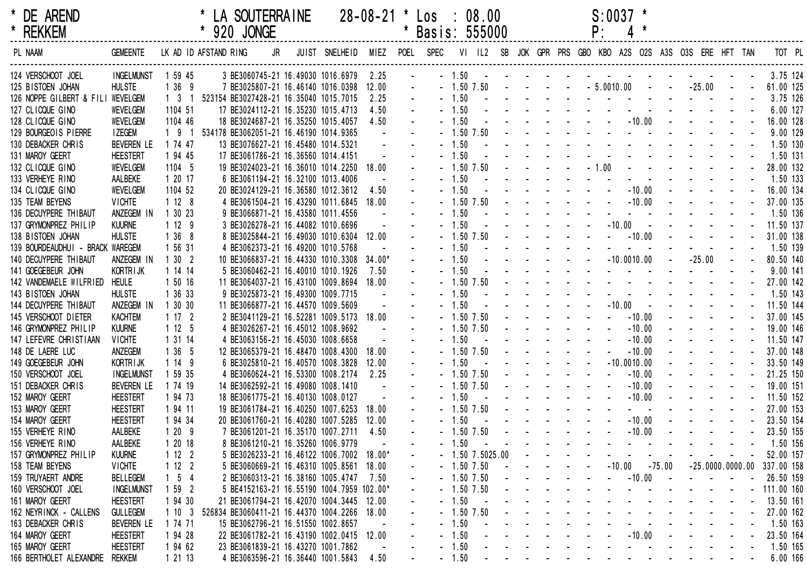| * DE AREND                        |                                                                                                                                                                                                                                |                     |                       | * LA SOUTERRAINE 28-08-21 * Los : 08.00   |  |                                  |          |                |                 |         |                  |  |  |  | $S:0037$ *                                                                                                                                                                                                                     |            |            |                    |            |  |
|-----------------------------------|--------------------------------------------------------------------------------------------------------------------------------------------------------------------------------------------------------------------------------|---------------------|-----------------------|-------------------------------------------|--|----------------------------------|----------|----------------|-----------------|---------|------------------|--|--|--|--------------------------------------------------------------------------------------------------------------------------------------------------------------------------------------------------------------------------------|------------|------------|--------------------|------------|--|
| * REKKEM                          | EXTERNAL TO THE SULLER THE SULLER THE SULLER THE SULLER THAT SULLER THE SULLER THAT SULLER THE SULLER THAT SULLER THE SULLER THAT SULLER THE SULLER THAT SULLER THAT SULLER THAT SULLER THAT SULLER THAT SULLER THAT SULLER TH |                     |                       |                                           |  |                                  |          |                | * Basis: 555000 |         |                  |  |  |  |                                                                                                                                                                                                                                |            |            |                    |            |  |
|                                   |                                                                                                                                                                                                                                |                     |                       |                                           |  |                                  |          |                |                 |         |                  |  |  |  |                                                                                                                                                                                                                                |            |            |                    | TOT PL     |  |
| PL NAAM                           | <b>GEMEENTE</b>                                                                                                                                                                                                                |                     | LK AD ID AFSTAND RING |                                           |  | JR JUIST SNELHEID MIEZ POEL SPEC |          |                |                 |         |                  |  |  |  | VI IL2 SB JOK GPR PRS GBO KBO A2S O2S A3S O3S ERE HFT TAN                                                                                                                                                                      |            |            |                    |            |  |
| 124 VERSCHOOT JOEL                | INGELMUNST 1 59 45                                                                                                                                                                                                             |                     |                       | 3 BE3060745-21 16.49030 1016.6979 2.25    |  |                                  |          |                |                 |         |                  |  |  |  |                                                                                                                                                                                                                                |            |            |                    |            |  |
| 125 BISTOEN JOHAN                 | <b>HULSTE</b>                                                                                                                                                                                                                  | $1369$              |                       | 7 BE3025807-21 16.46140 1016.0398 12.00 - |  |                                  |          |                |                 |         |                  |  |  |  | $-1.507.50$ $   -5.0010.00$ $  -25.00$ $ -$ 61.00 125                                                                                                                                                                          |            |            |                    |            |  |
| 126 NOPPE GILBERT & FILI WEVELGEM |                                                                                                                                                                                                                                | $1 \quad 3 \quad 1$ |                       | 523154 BE3027428-21 16.35040 1015.7015    |  |                                  | 2.25     | $\sim 10^{11}$ |                 |         |                  |  |  |  | - 1.50 - - - - - - - - - - - - - - - 3.75 126                                                                                                                                                                                  |            |            |                    |            |  |
| 127 CLICQUE GINO                  | <b>WEVELGEM</b>                                                                                                                                                                                                                | 1104 51             |                       | 17 BE3024112-21 16.35230 1015.4713        |  |                                  | $4.50 -$ |                |                 | $-1.50$ |                  |  |  |  | and the second contract of the second contract of the second second contract of the second second second second second second second second second second second second second second second second second second second secon |            |            |                    | 6.00 127   |  |
| 128 CLICQUE GINO                  | <b>WEVELGEM</b>                                                                                                                                                                                                                | 1104 46             |                       | 18 BE3024687-21 16.35250 1015.4057        |  |                                  | 4.50     |                |                 | $-1.50$ |                  |  |  |  | - - - - - - - - - 10.00 - - - - - 16.00 128                                                                                                                                                                                    |            |            |                    |            |  |
| 129 BOURGEOIS PIERRE              | <b>I ZEGEM</b>                                                                                                                                                                                                                 | $191$               |                       | 534178 BE3062051-21 16.46190 1014.9365    |  |                                  |          |                |                 |         |                  |  |  |  |                                                                                                                                                                                                                                |            |            |                    | 9.00 129   |  |
| 130 DEBACKER CHRIS                | BEVEREN LE                                                                                                                                                                                                                     | 1 74 47             |                       | 13 BE3076627-21 16.45480 1014.5321        |  |                                  |          |                |                 | $-1.50$ |                  |  |  |  | <u>. 1.50 130</u>                                                                                                                                                                                                              |            |            |                    |            |  |
| 131 MAROY GEERT                   | <b>HEESTERT</b>                                                                                                                                                                                                                | 1 94 45             |                       | 17 BE3061786-21 16.36560 1014.4151        |  |                                  |          |                |                 | $-1.50$ |                  |  |  |  | <u>.</u> 1.50 131                                                                                                                                                                                                              |            |            |                    |            |  |
| 132 CLICQUE GINO                  | <b>WEVELGEM</b>                                                                                                                                                                                                                | 1104 5              |                       | 19 BE3024023-21 16.36010 1014.2250 18.00  |  |                                  |          | $\sim$         |                 |         |                  |  |  |  | $-1.507.50$ $   -1.00$ $       -$ 28.00 132                                                                                                                                                                                    |            |            |                    |            |  |
| 133 VERHEYE RINO                  | AALBEKE                                                                                                                                                                                                                        | 1 20 17             |                       | 6 BE3061194-21 16.32100 1013.4006         |  |                                  |          |                |                 | $-1.50$ |                  |  |  |  | <u>.</u> 1.50 133                                                                                                                                                                                                              |            |            |                    |            |  |
| 134 CLICQUE GINO                  | <b>WEVELGEM</b>                                                                                                                                                                                                                | 1104 52             |                       | 20 BE3024129-21 16.36580 1012.3612        |  |                                  | 4.50     |                |                 | $-1.50$ |                  |  |  |  | . - 10.00 - - - - - 16.00 134                                                                                                                                                                                                  |            |            |                    |            |  |
| 135 TEAM BEYENS                   | <b>VICHTE</b>                                                                                                                                                                                                                  | 1128                |                       | 4 BE3061504-21 16.43290 1011.6845 18.00   |  |                                  |          |                |                 |         |                  |  |  |  | $-1.507.50$ $      -10.00$ $     -$ 37.00 135                                                                                                                                                                                  |            |            |                    |            |  |
| 136 DECUYPERE THIBAUT             | ANZEGEM IN                                                                                                                                                                                                                     | 1 30 23             |                       | 9 BE3066871-21 16.43580 1011.4556         |  |                                  |          |                |                 | $-1.50$ |                  |  |  |  | <u>. 1.50 136</u>                                                                                                                                                                                                              |            |            |                    |            |  |
| 137 GRYMONPREZ PHILIP             | <b>KUURNE</b>                                                                                                                                                                                                                  | 1129                |                       | 3 BE3026278-21 16.44082 1010.6696         |  |                                  |          |                |                 | $-1.50$ |                  |  |  |  | . -10.00 - 11.50 137                                                                                                                                                                                                           |            |            |                    |            |  |
| 138 BISTOEN JOHAN                 | <b>HULSTE</b>                                                                                                                                                                                                                  | 1368                |                       | 8 BE3025844-21 16.49030 1010.6304 12.00   |  |                                  |          | $\sim$         |                 |         |                  |  |  |  | $-1.507.50$ $     -10.00$ $     -$ 31.00 138                                                                                                                                                                                   |            |            |                    |            |  |
| 139 BOURDEAUDHUI - BRACK WAREGEM  |                                                                                                                                                                                                                                | 1 56 31             |                       | 4 BE3062373-21 16.49200 1010.5768         |  |                                  |          |                |                 | $-1.50$ |                  |  |  |  | <u>.</u> 1.50 139                                                                                                                                                                                                              |            |            |                    |            |  |
| 140 DECUYPERE THIBAUT             | ANZEGEM IN                                                                                                                                                                                                                     | 1302                |                       | 10 BE3066837-21 16.44330 1010.3308 34.00* |  |                                  |          |                |                 | $-1.50$ |                  |  |  |  | $      -$ 10.0010.00 $ -$ 25.00 $ -$ 80.50 140                                                                                                                                                                                 |            |            |                    |            |  |
| 141 GOEGEBEUR JOHN                | <b>KORTRIJK</b>                                                                                                                                                                                                                | 1 14 14             |                       | 5 BE3060462-21 16.40010 1010.1926         |  |                                  | 7.50     |                |                 | $-1.50$ |                  |  |  |  | . 9.00 141                                                                                                                                                                                                                     |            |            |                    |            |  |
| 142 VANDEMAELE WILFRIED           | <b>HEULE</b>                                                                                                                                                                                                                   | 1 50 16             |                       | 11 BE3064037-21 16.43100 1009.8694 18.00  |  |                                  |          |                |                 |         |                  |  |  |  |                                                                                                                                                                                                                                |            |            |                    |            |  |
| 143 BISTOEN JOHAN                 | <b>HULSTE</b>                                                                                                                                                                                                                  | 1 36 33             |                       | 9 BE3025873-21 16.49300 1009.7715         |  |                                  |          |                |                 | $-1.50$ |                  |  |  |  | <u>.</u> 1.50 143                                                                                                                                                                                                              |            |            |                    |            |  |
| 144 DECUYPERE THIBAUT             | ANZEGEM IN                                                                                                                                                                                                                     | 1 30 30             |                       | 11 BE3066877-21 16.44570 1009.5609        |  |                                  |          |                |                 | $-1.50$ |                  |  |  |  | - - - - - - -10.00 - - - - - - - 11.50 144                                                                                                                                                                                     |            |            |                    |            |  |
| 145 VERSCHOOT DIETER              | <b>KACHTEM</b>                                                                                                                                                                                                                 | 1172                |                       | 2 BE3041129-21 16.52281 1009.5173 18.00   |  |                                  |          |                |                 |         |                  |  |  |  | - 1.50 7.50 - - - - - - - - -10.00 - - - - - - 37.00 145                                                                                                                                                                       |            |            |                    |            |  |
| 146 GRYMONPREZ PHILIP             | <b>KUURNE</b>                                                                                                                                                                                                                  | 1125                |                       | 4 BE3026267-21 16.45012 1008.9692         |  |                                  |          |                |                 |         | $-1.50$ 7.50     |  |  |  | - - - - - - - - 10.00 - - - - - 19.00 146                                                                                                                                                                                      |            |            |                    |            |  |
| 147 LEFEVRE CHRISTIAAN            | <b>VICHTE</b>                                                                                                                                                                                                                  | 1 31 14             |                       | 4 BE3063156-21 16.45030 1008.6658         |  |                                  |          |                |                 | $-1.50$ | $\sim 100$       |  |  |  | - - - - - - - -10.00 - - - - - 11.50 147                                                                                                                                                                                       |            |            |                    |            |  |
| 148 DE LAERE LUC                  | ANZEGEM                                                                                                                                                                                                                        | 1 36 5              |                       | 12 BE3065379-21 16.48470 1008.4300        |  |                                  | 18.00    | $\Delta$       |                 |         | $-1.50$ $7.50$   |  |  |  | - - - - - - - -10.00 - - - - - 37.00 148                                                                                                                                                                                       |            |            |                    |            |  |
| 149 GOEGEBEUR JOHN                | KORTRIJK                                                                                                                                                                                                                       | 1149                |                       | 6 BE3025810-21 16.40570 1008.3828         |  |                                  | 12.00    |                |                 | $-1.50$ |                  |  |  |  | - - - - - - - -10.0010.00 - - - - - - 33.50 149                                                                                                                                                                                |            |            |                    |            |  |
| 150 VERSCHOOT JOEL                | <b>INGELMUNST</b>                                                                                                                                                                                                              | 1 59 35             |                       | 4 BE3060624-21 16.53300 1008.2174         |  |                                  | 2.25     |                |                 |         | $-1.50$ $7.50$   |  |  |  | - - - - - - - -10.00 - - - - - 21.25 150                                                                                                                                                                                       |            |            |                    |            |  |
| 151 DEBACKER CHRIS                | <b>BEVEREN LE</b>                                                                                                                                                                                                              | 1 74 19             |                       | 14 BE3062592-21 16.49080 1008.1410        |  |                                  |          |                |                 |         | $-1.50$ 7.50     |  |  |  | . - 10.00 - - - - - 19.00 151                                                                                                                                                                                                  |            |            |                    |            |  |
| 152 MAROY GEERT                   | <b>HEESTERT</b>                                                                                                                                                                                                                | 1 94 73             |                       | 18 BE3061775-21 16.40130 1008.0127        |  |                                  |          |                |                 | $-1.50$ |                  |  |  |  | . 10.00 11.50 152                                                                                                                                                                                                              |            |            |                    |            |  |
| 153 MAROY GEERT                   | <b>HEESTERT</b>                                                                                                                                                                                                                | 1 94 11             |                       | 19 BE3061784-21 16.40250 1007.6253        |  |                                  | 18.00    |                |                 |         | $-1.50$ 7.50     |  |  |  | <u>.</u> 27.00 153                                                                                                                                                                                                             |            |            |                    |            |  |
| 154 MAROY GEERT                   | <b>HEESTERT</b>                                                                                                                                                                                                                | 1 94 34             |                       | 20 BE3061760-21 16.40280 1007.5285 12.00  |  |                                  |          |                |                 | $-1.50$ |                  |  |  |  | - - - - - - - - - 10.00 - - - - - 23.50 154                                                                                                                                                                                    |            |            |                    |            |  |
| 155 VERHEYE RINO                  | AALBEKE                                                                                                                                                                                                                        | 1209                |                       | 7 BE3061201-21 16.35170 1007.2711         |  |                                  | 4.50     |                |                 |         | $-1.50$ 7.50     |  |  |  | $-10.00$ $      23.50$ 155                                                                                                                                                                                                     |            |            |                    |            |  |
| 156 VERHEYE RINO                  | AALBEKE                                                                                                                                                                                                                        | 1 20 18             |                       | 8 BE3061210-21 16.35260 1006.9779         |  |                                  |          |                |                 | $-1.50$ |                  |  |  |  |                                                                                                                                                                                                                                |            |            |                    | 1.50 156   |  |
| 157 GRYMONPREZ PHILIP             | <b>KUURNE</b>                                                                                                                                                                                                                  | 1122                |                       | 5 BE3026233-21 16.46122 1006.7002         |  |                                  | 18.00*   |                |                 |         | $-1.507.5025.00$ |  |  |  |                                                                                                                                                                                                                                |            |            |                    | 52.00 157  |  |
| 158 TEAM BEYENS                   | <b>VICHTE</b>                                                                                                                                                                                                                  | 1122                |                       | 5 BE3060669-21 16.46310 1005.8561 18.00   |  |                                  |          |                |                 |         | $-1.50$ 7.50     |  |  |  | $-10.00 -75.00$                                                                                                                                                                                                                |            |            | $-25.0000.0000.00$ | 337.00 158 |  |
| 159 TRUYAERT ANDRE                | <b>BELLEGEM</b>                                                                                                                                                                                                                | $1 \quad 5 \quad 4$ |                       | 2 BE3060313-21 16.38160 1005.4747         |  |                                  | 7.50     |                |                 |         | $-1.50$ 7.50     |  |  |  | $-10.00$                                                                                                                                                                                                                       | $\sim 100$ |            |                    | 26.50 159  |  |
| 160 VERSCHOOT JOEL                | <b>INGELMUNST</b>                                                                                                                                                                                                              | 1 59 2              |                       | 5 BE4152163-21 16.55190 1004.7959 102.00* |  |                                  |          |                |                 |         | $-1.50$ 7.50     |  |  |  |                                                                                                                                                                                                                                |            |            |                    | 111.00 160 |  |
| 161 MAROY GEERT                   | <b>HEESTERT</b>                                                                                                                                                                                                                | 1 94 30             |                       | 21 BE3061794-21 16.42070 1004.3445 12.00  |  |                                  |          |                |                 | $-1.50$ | $\sim$ $-$       |  |  |  |                                                                                                                                                                                                                                |            |            |                    | 13.50 161  |  |
| 162 NEYRINCK - CALLENS            | <b>GULLEGEM</b>                                                                                                                                                                                                                | 1103                |                       | 526834 BE3060411-21 16.44370 1004.2266    |  |                                  | 18.00    |                |                 |         | $-1.50$ 7.50     |  |  |  |                                                                                                                                                                                                                                |            |            |                    | 27.00 162  |  |
| 163 DEBACKER CHRIS                | <b>BEVEREN LE</b>                                                                                                                                                                                                              | 1 74 71             |                       | 15 BE3062796-21 16.51550 1002.8657        |  |                                  |          |                |                 | $-1.50$ |                  |  |  |  |                                                                                                                                                                                                                                |            |            |                    | 1.50 163   |  |
| 164 MAROY GEERT                   | <b>HEESTERT</b>                                                                                                                                                                                                                | 1 94 28             |                       | 22 BE3061782-21 16.43190 1002.0415        |  |                                  | 12.00    |                |                 | $-1.50$ |                  |  |  |  | $-10.00$                                                                                                                                                                                                                       |            |            |                    | 23.50 164  |  |
| 165 MAROY GEERT                   | <b>HEESTERT</b>                                                                                                                                                                                                                | 1 94 62             |                       | 23 BE3061839-21 16.43270 1001.7862        |  |                                  |          |                |                 | $-1.50$ |                  |  |  |  |                                                                                                                                                                                                                                |            |            |                    | 1.50 165   |  |
| 166 BERTHOLET ALEXANDRE REKKEM    |                                                                                                                                                                                                                                | 1 21 13             |                       | 4 BE3063596-21 16.36440 1001.5843         |  |                                  | 4.50     |                |                 | $-1.50$ |                  |  |  |  |                                                                                                                                                                                                                                |            | $\sim 100$ | $\sim 100$         | 6.00 166   |  |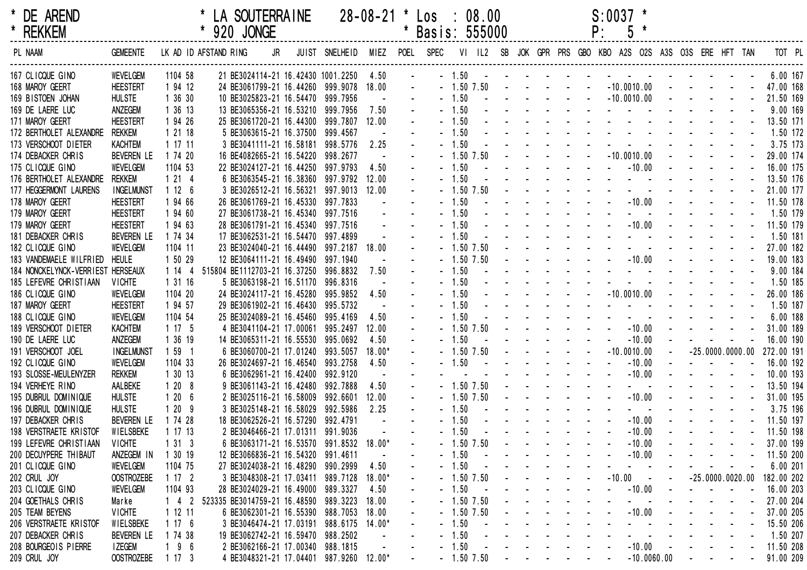| * DE AREND<br>* REKKEM                       |                                |                    |                       | * LA SOUTERRAINE<br>* 920 JONGE                                       |                                  | $28 - 08 - 21$                   |                               | $\star$ Los :<br>Basis: 555000 |                | 08.00 |                                                            |  | $S:0037$ *<br>P:                                                                                                                                                                                                                                | $5*$         |        |                                                        |                                                   |        |                               |  |
|----------------------------------------------|--------------------------------|--------------------|-----------------------|-----------------------------------------------------------------------|----------------------------------|----------------------------------|-------------------------------|--------------------------------|----------------|-------|------------------------------------------------------------|--|-------------------------------------------------------------------------------------------------------------------------------------------------------------------------------------------------------------------------------------------------|--------------|--------|--------------------------------------------------------|---------------------------------------------------|--------|-------------------------------|--|
| PL NAAM                                      | <b>GEMEENTE</b>                |                    | LK AD ID AFSTAND RING |                                                                       | JR JUIST SNELHEID MIEZ POEL SPEC |                                  |                               |                                |                |       |                                                            |  | VI IL2 SB JOK GPR PRS GBO KBO A2S O2S A3S O3S ERE HFT TAN                                                                                                                                                                                       |              |        |                                                        |                                                   |        | TOT PL                        |  |
| 167 CLICQUE GINO                             | <b>WEVELGEM</b>                | 1104 58            |                       | 21 BE3024114-21 16.42430 1001.2250 4.50 -                             |                                  |                                  |                               |                                |                |       | $-1.50$ $     -$                                           |  |                                                                                                                                                                                                                                                 |              |        |                                                        |                                                   |        | 6.00 167                      |  |
| 168 MAROY GEERT                              | <b>HEESTERT</b>                | 1 94 12            |                       | 24 BE3061799-21 16.44260 999.9078 18.00                               |                                  |                                  | $\sim$ $-$                    |                                |                |       | $-1.50$ 7.50 $    -$                                       |  | $-10.0010.00$                                                                                                                                                                                                                                   |              |        | $\mathcal{L}^{\text{max}}(\mathcal{L}^{\text{max}})$ . |                                                   |        | 47.00 168                     |  |
| 169 BISTOEN JOHAN                            | <b>HULSTE</b>                  | 1 36 30            |                       | 10 BE3025823-21 16.54470 999.7956                                     |                                  | <b>Contract Contract</b>         | $\sim$ $-$                    |                                |                |       | $-1.50$ $    -$                                            |  | $-10.0010.00$ $ -$                                                                                                                                                                                                                              |              |        |                                                        |                                                   |        | 21.50 169                     |  |
| 169 DE LAERE LUC                             | ANZEGEM                        | 1 36 13            |                       | 13 BE3065356-21 16.53210 999.7956                                     |                                  | 7.50                             | $\sim$ $-$                    |                                |                |       |                                                            |  | $-1.50$ . The set of the set of the set of the set of the set of the set of the set of the set of the set of the set of the set of the set of the set of the set of the set of the set of the set of the set of the set of th                   |              |        |                                                        |                                                   |        | 9.00 169                      |  |
| 171 MAROY GEERT                              | <b>HEESTERT</b>                | 1 94 26            |                       | 25 BE3061720-21 16.44300 999.7807 12.00                               |                                  |                                  | $\sim$ $-$                    |                                |                |       |                                                            |  | $-1.50$ . The second contract of the second contract of the second contract of the second contract of the second contract of the second contract of the second contract of the second contract of the second contract of the                    |              |        |                                                        |                                                   |        | 13.50 171                     |  |
| 172 BERTHOLET ALEXANDRE                      | rekkem                         | 1 21 18            |                       | 5 BE3063615-21 16.37500 999.4567                                      |                                  | <b>Contractor</b>                | $\Delta \sim 10$<br>$\sim 10$ |                                |                |       |                                                            |  | $-1.50$ . The second contract of the second contract of the second contract of the second contract of the second contract of the second contract of the second contract of the second contract of the second contract of the<br>. 1.50 <b>.</b> |              |        |                                                        |                                                   |        | 1.50 172<br>3.75 173          |  |
| 173 VERSCHOOT DIETER<br>174 DEBACKER CHRIS   | <b>KACHTEM</b><br>BEVEREN LE   | 1 17 11<br>1 74 20 |                       | 3 BE3041111-21 16.58181 998.5776<br>16 BE4082665-21 16.54220 998.2677 |                                  | 2.25<br><b>Contract Contract</b> | $\Delta \sim 10$              |                                |                |       | $-1.50$ 7.50 $   -$                                        |  | $-10.0010.00$                                                                                                                                                                                                                                   |              |        |                                                        |                                                   |        | 29.00 174                     |  |
| 175 CLICQUE GINO                             | <b>WEVELGEM</b>                | 1104 53            |                       | 22 BE3024127-21 16.44250 997.9793                                     |                                  | 4.50                             | $\sim$                        |                                |                |       | $-1.50$ $       -$                                         |  |                                                                                                                                                                                                                                                 | $-10.00 - -$ |        |                                                        |                                                   |        | 16.00 175                     |  |
| 176 BERTHOLET ALEXANDRE                      | rekkem                         | 1214               |                       | 6 BE3063545-21 16.38360 997.9792 12.00                                |                                  |                                  | $\sim$                        |                                |                |       | $-1.50$ $       -$                                         |  |                                                                                                                                                                                                                                                 |              |        |                                                        |                                                   |        | 13.50 176                     |  |
| 177 HEGGERMONT LAURENS                       | <b>INGELMUNST</b>              | 1126               |                       | 3 BE3026512-21 16.56321 997.9013 12.00                                |                                  |                                  | $\sim$                        |                                |                |       |                                                            |  |                                                                                                                                                                                                                                                 |              |        |                                                        |                                                   |        | 21.00 177                     |  |
| 178 MAROY GEERT                              | <b>HEESTERT</b>                | 1 94 66            |                       | 26 BE3061769-21 16.45330 997.7833                                     |                                  | $\mathcal{A}(\mathcal{A})$ and   | $\sim$                        |                                |                |       | $-1.50$ $       -$                                         |  |                                                                                                                                                                                                                                                 |              |        |                                                        | $-10.00$ $    -$                                  |        | 11.50 178                     |  |
| 179 MAROY GEERT                              | <b>HEESTERT</b>                | 1 94 60            |                       | 27 BE3061738-21 16.45340 997.7516                                     |                                  | $\Delta \sim 100$ km s $^{-1}$   | $\Delta \sim 10$              | $-1.50$                        |                |       |                                                            |  |                                                                                                                                                                                                                                                 |              |        |                                                        |                                                   |        | 1.50 179                      |  |
| 179 MAROY GEERT                              | <b>HEESTERT</b>                | 1 94 63            |                       | 28 BE3061791-21 16.45340 997.7516                                     |                                  | $\Delta \sim 100$ km s $^{-1}$   | $\sim$                        | $-1.50$                        |                |       |                                                            |  |                                                                                                                                                                                                                                                 |              |        |                                                        | $-10.00$ $   -$                                   |        | 11.50 179                     |  |
| 181 DEBACKER CHRIS                           | BEVEREN LE                     | 1 74 34            |                       | 17 BE3062531-21 16.54470 997.4899                                     |                                  | <b>Service</b>                   | $\Delta \sim 10$              | $-1.50$                        |                |       |                                                            |  | the contract of the contract of the con-                                                                                                                                                                                                        |              |        |                                                        |                                                   |        | 1.50 181                      |  |
| 182 CLICQUE GINO                             | <b>WEVELGEM</b>                | 1104 11            |                       | 23 BE3024040-21 16.44490 997.2187 18.00                               |                                  |                                  | $\sim$                        |                                |                |       |                                                            |  |                                                                                                                                                                                                                                                 |              |        |                                                        |                                                   |        | 27.00 182                     |  |
| 183 VANDEMAELE WILFRIED                      | HEULE                          | 1 50 29            |                       | 12 BE3064111-21 16.49490 997.1940                                     |                                  | <b>Contract Contract</b>         | $\sim$                        |                                |                |       | $-1.50$ 7.50 $     -$                                      |  |                                                                                                                                                                                                                                                 |              |        |                                                        | $-10.00$ $    -$                                  |        | 19.00 183                     |  |
| 184 NONCKELYNCK-VERRIEST HERSEAUX            |                                |                    |                       | 1 14 4 515804 BE1112703-21 16.37250 996.8832                          |                                  | 7.50                             | $\sim$                        |                                |                |       | $-1.50$ $     -$                                           |  |                                                                                                                                                                                                                                                 |              |        |                                                        |                                                   |        | 9.00 184                      |  |
| 185 LEFEVRE CHRISTIAAN                       | <b>VICHTE</b>                  | 1 31 16            |                       | 5 BE3063198-21 16.51170 996.8316                                      |                                  | <b>Contract Contract</b>         | $\Delta \sim 10$              |                                |                |       | $-1.50$ $     -$                                           |  |                                                                                                                                                                                                                                                 |              |        |                                                        |                                                   |        | 1.50 185                      |  |
| 186 CLICQUE GINO                             | <b>WEVELGEM</b>                | 1104 20            |                       | 24 BE3024117-21 16.45280 995.9852                                     |                                  | 4.50                             | $\sim$                        |                                |                |       | $-1.50$ $     -$                                           |  | $-10.0010.00$ $    -$                                                                                                                                                                                                                           |              |        |                                                        |                                                   |        | 26.00 186                     |  |
| 187 MAROY GEERT                              | <b>HEESTERT</b>                | 1 94 57            |                       | 29 BE3061902-21 16.46430 995.5732                                     |                                  | <b>Contract Contract</b>         | $\sim$                        | $-1.50$                        |                |       |                                                            |  | the contract of the contract of the contract of the contract of                                                                                                                                                                                 |              |        |                                                        |                                                   |        | 1.50 187                      |  |
| 188 CLICQUE GINO                             | WEVELGEM                       | 1104 54            |                       | 25 BE3024089-21 16.45460 995.4169                                     |                                  | 4.50                             | $\sim$                        | $-1.50$                        |                |       |                                                            |  |                                                                                                                                                                                                                                                 |              |        |                                                        |                                                   |        | 6.00 188                      |  |
| 189 VERSCHOOT DIETER                         | KACHTEM                        | 1 17 5             |                       | 4 BE3041104-21 17.00061 995.2497                                      |                                  | 12.00                            | $\sim$                        |                                |                |       | $-1.50$ 7.50 $     -$                                      |  |                                                                                                                                                                                                                                                 |              |        |                                                        | $-10.00$ $    -$                                  |        | 31.00 189                     |  |
| 190 DE LAERE LUC                             | ANZEGEM                        | 1 36 19            |                       | 14 BE3065311-21 16.55530 995.0692                                     |                                  | 4.50                             | $\sim$                        | $-1.50$                        |                |       | and the company of the company                             |  |                                                                                                                                                                                                                                                 | $-10.00$     |        |                                                        |                                                   |        | 16.00 190                     |  |
| 191 VERSCHOOT JOEL                           | <b>INGELMUNST</b>              | $159$ 1            |                       | 6 BE3060700-21 17.01240 993.5057                                      |                                  | $18.00*$                         | $\sim$                        |                                |                |       | $-1.50$ 7.50 $  -$                                         |  | $-10.0010.00$                                                                                                                                                                                                                                   |              | $\sim$ |                                                        |                                                   |        | $-25.0000.0000.00$ 272.00 191 |  |
| 192 CLICQUE GINO                             | <b>WEVELGEM</b>                | 1104 33            |                       | 26 BE3024697-21 16.46540 993.2758                                     |                                  | 4.50                             | $\sim$ .                      |                                |                |       | $-1.50$ $   -$                                             |  |                                                                                                                                                                                                                                                 | $-10.00$     |        |                                                        |                                                   |        | 16.00 192                     |  |
| 193 SLOSSE-MEULENYZER                        | <b>REKKEM</b>                  | 1 30 13            |                       | 6 BE3062961-21 16.42400 992.9120                                      |                                  | $\sim 100$ km s $^{-1}$          | $\sim 10$                     |                                |                |       | and a series of the series of the                          |  |                                                                                                                                                                                                                                                 | $-10.00$     |        |                                                        |                                                   |        | 10.00 193                     |  |
| 194 VERHEYE RINO                             | AALBEKE                        | 1208               |                       | 9 BE3061143-21 16.42480 992.7888                                      |                                  | 4.50                             | $\sim$ $-$                    |                                |                |       | $-1.50$ 7.50 $     -$<br>and the state of the state of the |  |                                                                                                                                                                                                                                                 |              |        |                                                        | and a series of the series of<br>$-10.00$ $    -$ |        | 13.50 194                     |  |
| 195 DUBRUL DOMINIQUE<br>196 DUBRUL DOMINIQUE | <b>HULSTE</b><br><b>HULSTE</b> | 1206<br>1209       |                       | 2 BE3025116-21 16.58009 992.6601<br>3 BE3025148-21 16.58029 992.5986  |                                  | 12.00<br>2.25                    | $\sim$<br>$\sim$              | $-1.50$                        | $-1.50$ $7.50$ |       |                                                            |  |                                                                                                                                                                                                                                                 |              |        |                                                        | and a straightful and a straight                  |        | 31.00 195<br>3.75 196         |  |
| 197 DEBACKER CHRIS                           | Beveren le                     | 1 74 28            |                       | 18 BE3062526-21 16.57290 992.4791                                     |                                  | $\sim 100$ km s $^{-1}$          |                               | $-1.50$                        |                |       | and the state of the state of the                          |  |                                                                                                                                                                                                                                                 |              |        |                                                        |                                                   |        | $-10.00$ $     11.50$ 197     |  |
| 198 VERSTRAETE KRISTOF                       | WIELSBEKE                      | 1 17 13            |                       | 2 BE3046466-21 17.01311 991.9036                                      |                                  | <b>All Control</b>               |                               | $-1.50$                        |                |       | and a straightful contract and                             |  |                                                                                                                                                                                                                                                 | $-10.00$     |        |                                                        |                                                   |        | - - - - - - 11.50 198         |  |
| 199 LEFEVRE CHRISTIAAN                       | <b>VICHTE</b>                  | 1313               |                       | 6 BE3063171-21 16.53570 991.8532 18.00                                |                                  |                                  |                               |                                | $-1.50$ 7.50   |       |                                                            |  |                                                                                                                                                                                                                                                 | $-10.00$     |        |                                                        |                                                   |        | 37.00 199                     |  |
| 200 DECUYPERE THIBAUT                        | ANZEGEM IN                     | 1 30 19            |                       | 12 BE3066836-21 16.54320 991.4611                                     |                                  |                                  |                               | $-1.50$                        |                |       |                                                            |  |                                                                                                                                                                                                                                                 | $-10.00$     |        |                                                        |                                                   |        | 11.50 200                     |  |
| 201 CLICQUE GINO                             | <b>WEVELGEM</b>                | 1104 75            |                       | 27 BE3024038-21 16.48290 990.2999                                     |                                  | 4.50                             |                               | $-1.50$                        |                |       |                                                            |  |                                                                                                                                                                                                                                                 |              |        |                                                        |                                                   |        | 6.00 201                      |  |
| 202 CRUL JOY                                 | <b>OOSTROZEBE</b>              | 1172               |                       | 3 BE3048308-21 17.03411 989.7128                                      |                                  | $18.00*$                         |                               |                                | $-1.50$ 7.50   |       |                                                            |  | $-10.00 -$                                                                                                                                                                                                                                      |              | $\sim$ |                                                        | $-25.0000.0020.00$                                |        | 182.00 202                    |  |
| 203 CLICQUE GINO                             | WEVELGEM                       | 1104 93            |                       | 28 BE3024029-21 16.49000 989.3327                                     |                                  | 4.50                             |                               | $-1.50$                        |                |       |                                                            |  |                                                                                                                                                                                                                                                 | $-10.00$     |        |                                                        |                                                   |        | 16.00 203                     |  |
| 204 GOETHALS CHRIS                           | Marke                          | $1\quad 4$<br>-2   |                       | 523335 BE3014759-21 16.48590                                          | 989.3223                         | 18.00                            |                               |                                | $-1.50$ 7.50   |       |                                                            |  |                                                                                                                                                                                                                                                 |              |        |                                                        |                                                   |        | 27.00 204                     |  |
| 205 TEAM BEYENS                              | <b>VICHTE</b>                  | 1 12 11            |                       | 6 BE3062301-21 16.55390 988.7053                                      |                                  | 18.00                            |                               |                                | $-1.50$ 7.50   |       |                                                            |  |                                                                                                                                                                                                                                                 | $-10.00$     |        |                                                        |                                                   |        | 37.00 205                     |  |
| 206 VERSTRAETE KRISTOF                       | WIELSBEKE                      | 1176               |                       | 3 BE3046474-21 17.03191 988.6175 14.00*                               |                                  |                                  |                               | $-1.50$                        |                |       |                                                            |  |                                                                                                                                                                                                                                                 |              |        |                                                        |                                                   |        | 15.50 206                     |  |
| 207 DEBACKER CHRIS                           | <b>BEVEREN LE</b>              | 1 74 38            |                       | 19 BE3062742-21 16.59470 988.2502                                     |                                  |                                  |                               | $-1.50$                        |                |       |                                                            |  |                                                                                                                                                                                                                                                 |              |        |                                                        |                                                   |        | 1.50 207                      |  |
| 208 BOURGEOIS PIERRE                         | <b>IZEGEM</b>                  | 196                |                       | 2 BE3062166-21 17.00340 988.1815                                      |                                  |                                  |                               | $-1.50$                        |                |       | the contract of the contract of                            |  | $\sim$                                                                                                                                                                                                                                          |              |        |                                                        | $-10.00$ $   -$                                   | $\sim$ | 11.50 208                     |  |
| 209 CRUL JOY                                 | <b>OOSTROZEBE</b>              | 1173               |                       | 4 BE3048321-21 17.04401 987.9260 12.00*                               |                                  |                                  | $\sim$                        |                                |                |       |                                                            |  | - 1.50 7.50 - - - - - - - -10.0060.00 - - - - 91.00 209                                                                                                                                                                                         |              |        |                                                        |                                                   |        |                               |  |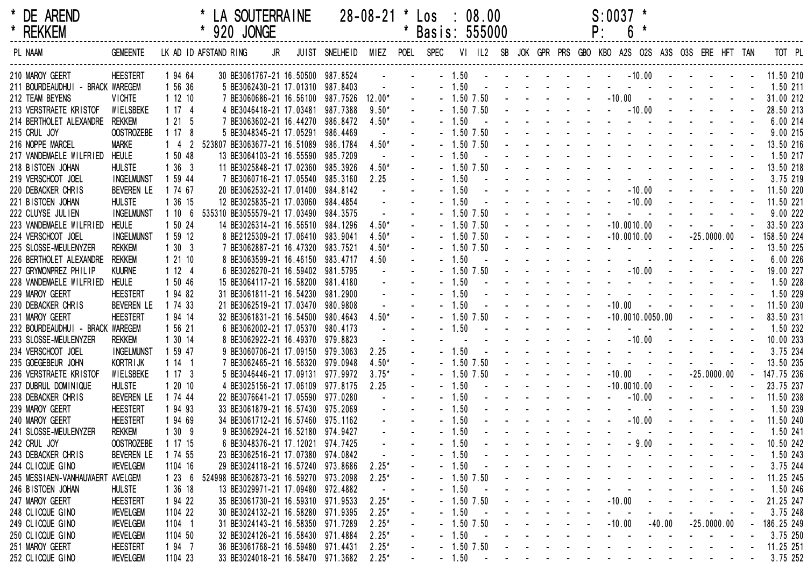| × | <b>DE AREN</b> |
|---|----------------|
| × | <b>RFKKFM</b>  |

\* DE AREND \* LA SOUTERRAINE 28-08-21 \* Los : 08.00 S:0037 \*

| <b>REKKEM</b>                    |                   |         | * 920 JONGE                                  |                                         |          |            |                | Basis: 555000        |  |                        |                                   | Ρ:                                                    | O                                                                                                                                                                                                                              |        |                      |               |              |        |
|----------------------------------|-------------------|---------|----------------------------------------------|-----------------------------------------|----------|------------|----------------|----------------------|--|------------------------|-----------------------------------|-------------------------------------------------------|--------------------------------------------------------------------------------------------------------------------------------------------------------------------------------------------------------------------------------|--------|----------------------|---------------|--------------|--------|
| PL NAAM                          | <b>GEMEENTE</b>   |         | LK AD ID AFSTAND RING                        | JR                                      |          |            |                |                      |  |                        |                                   |                                                       | JUIST SNELHEID MIEZ POEL SPEC VI IL2 SB JOK GPR PRS GBO KBO A2S O2S A3S O3S ERE HFT TAN                                                                                                                                        |        |                      |               |              | TOT PL |
| 210 MAROY GEERT                  | <b>HEESTERT</b>   | 1 94 64 |                                              | 30 BE3061767-21 16.50500 987.8524       |          | $\sim 100$ |                |                      |  |                        |                                   |                                                       | - 1.50 - - - - - - - - -10.00 - - - - - - 11.50 210                                                                                                                                                                            |        |                      |               |              |        |
| 211 BOURDEAUDHUI - BRACK WAREGEM |                   | 1 56 36 |                                              | 5 BE3062430-21 17.01310 987.8403        |          |            |                | $-1.50$<br>$\sim 10$ |  |                        |                                   |                                                       | the company of the company of the company of the company of the company of the company of the company of the company of the company of the company of the company of the company of the company of the company of the company  |        |                      |               | 1.50 211     |        |
| 212 TEAM BEYENS                  | <b>VICHTE</b>     | 11210   |                                              | 7 BE3060686-21 16.56100 987.7526        |          | $12.00*$   |                | $-1.50$ 7.50         |  | and the company of the |                                   |                                                       | $-10.00 -$                                                                                                                                                                                                                     |        |                      |               | 31.00 212    |        |
| 213 VERSTRAETE KRISTOF           | WIELSBEKE         | 1174    |                                              | 4 BE3046418-21 17.03481                 | 987.7388 | $9.50*$    |                | $-1.50$ 7.50         |  |                        |                                   |                                                       | $-10.00$<br>$\Delta \sim 100$                                                                                                                                                                                                  |        |                      |               | 28.50 213    |        |
| 214 BERTHOLET ALEXANDRE          | rekkem            | 1215    |                                              | 7 BE3063602-21 16.44270                 | 986.8472 | $4.50*$    |                | $-1.50$              |  |                        |                                   |                                                       | the company of the second state of                                                                                                                                                                                             |        |                      |               | 6.00 214     |        |
| 215 CRUL JOY                     | <b>OOSTROZEBE</b> | 1178    |                                              | 5 BE3048345-21 17.05291                 | 986.4469 |            |                | $-1.50$ 7.50         |  |                        |                                   |                                                       | the contract of the contract of the contract of the contract of the contract of the contract of the contract of                                                                                                                |        |                      |               | 9.00 215     |        |
| 216 NOPPE MARCEL                 | <b>MARKE</b>      |         | 1 4 2 523807 BE3063677-21 16.51089           |                                         | 986.1784 | $4.50*$    |                | $-1.50$ 7.50         |  |                        |                                   |                                                       | the contract of the contract of the contract of                                                                                                                                                                                |        |                      |               | 13.50 216    |        |
| 217 VANDEMAELE WILFRIED          | <b>HEULE</b>      | 1 50 48 |                                              | 13 BE3064103-21 16.55590                | 985.7209 |            |                | $-1.50$              |  |                        |                                   |                                                       | the contract of the contract of the contract of the contract of the contract of the contract of the contract of the contract of the contract of the contract of the contract of the contract of the contract of the contract o |        |                      |               | 1.50 217     |        |
| 218 BISTOEN JOHAN                | <b>HULSTE</b>     | 1363    |                                              | 11 BE3025848-21 17.02360                | 985.3926 | $4.50*$    | $\blacksquare$ | $-1.50$ 7.50         |  |                        |                                   |                                                       | the contract of the contract of the contract of the contract of the contract of the contract of the contract of the contract of the contract of the contract of the contract of the contract of the contract of the contract o |        |                      |               | 13.50 218    |        |
| 219 VERSCHOOT JOEL               | <b>INGELMUNST</b> | 1 59 44 |                                              | 7 BE3060716-21 17.05540 985.3160        |          | 2.25       |                | $-1.50$              |  |                        |                                   |                                                       |                                                                                                                                                                                                                                |        |                      |               | 3.75 219     |        |
| 220 DEBACKER CHRIS               | <b>BEVEREN LE</b> | 1 74 67 |                                              | 20 BE3062532-21 17.01400 984.8142       |          |            |                | $-1.50$              |  |                        |                                   |                                                       | $-10.00$                                                                                                                                                                                                                       |        |                      |               | 11.50 220    |        |
| 221 BISTOEN JOHAN                | <b>HULSTE</b>     | 1 36 15 |                                              | 12 BE3025835-21 17.03060 984.4854       |          |            |                | $-1.50$              |  |                        |                                   |                                                       | $-10.00$<br>$\sim$                                                                                                                                                                                                             |        |                      |               | 11.50 221    |        |
| 222 CLUYSE JULIEN                | <b>INGELMUNST</b> |         | 1 10 6 535310 BE3055579-21 17.03490 984.3575 |                                         |          |            |                | $-1.50$ 7.50         |  |                        |                                   | and the state of the state of                         | $\Delta \phi = \Delta \phi$                                                                                                                                                                                                    |        |                      |               | 9.00 222     |        |
| 223 VANDEMAELE WILFRIED          | HEULE             | 1 50 24 |                                              | 14 BE3026314-21 16.56510 984.1296       |          | $4.50*$    |                | $-1.50$ 7.50         |  |                        |                                   |                                                       | $-10.0010.00$                                                                                                                                                                                                                  |        |                      |               | 33.50 223    |        |
| 224 VERSCHOOT JOEL               | <b>INGELMUNST</b> | 1 59 12 |                                              | 8 BE2125309-21 17.06410                 | 983.9041 | $4.50*$    |                | $-1.50$ 7.50         |  |                        | <b>Contract Contract Contract</b> |                                                       | $-10.0010.00$                                                                                                                                                                                                                  | $\sim$ |                      | $-25.0000.00$ | 158.50 224   |        |
| 225 SLOSSE-MEULENYZER            | <b>REKKEM</b>     | 1303    |                                              | 7 BE3062887-21 16.47320 983.7521        |          | $4.50*$    |                | $-1.50$ 7.50         |  |                        |                                   |                                                       | the company of the company                                                                                                                                                                                                     |        |                      |               | 13.50 225    |        |
| 226 BERTHOLET ALEXANDRE          | <b>REKKEM</b>     | 1 21 10 |                                              | 8 BE3063599-21 16.46150 983.4717        |          | 4.50       |                | $-1.50$              |  |                        |                                   |                                                       |                                                                                                                                                                                                                                |        |                      |               | 6.00 226     |        |
| 227 GRYMONPREZ PHILIP            | <b>KUURNE</b>     | 1124    |                                              | 6 BE3026270-21 16.59402 981.5795        |          |            |                | $-1.50$ $7.50$       |  |                        |                                   |                                                       | $-10.00$                                                                                                                                                                                                                       |        |                      |               | 19.00 227    |        |
| 228 VANDEMAELE WILFRIED          | <b>HEULE</b>      | 1 50 46 |                                              | 15 BE3064117-21 16.58200 981.4180       |          |            |                | $-1.50$              |  |                        |                                   |                                                       | the contract of the contract of the                                                                                                                                                                                            |        |                      |               | 1.50 228     |        |
| 229 MAROY GEERT                  | <b>HEESTERT</b>   | 1 94 82 |                                              | 31 BE3061811-21 16.54230 981.2900       |          |            |                | $-1.50$              |  |                        |                                   |                                                       |                                                                                                                                                                                                                                |        |                      |               | 1.50 229     |        |
| 230 DEBACKER CHRIS               | BEVEREN LE        | 1 74 33 |                                              | 21 BE3062519-21 17.03470                | 980.9808 |            |                | $-1.50$              |  |                        |                                   |                                                       | $-10.00$                                                                                                                                                                                                                       |        |                      |               | 11.50 230    |        |
| 231 MAROY GEERT                  | <b>HEESTERT</b>   | 1 94 14 |                                              | 32 BE3061831-21 16.54500                | 980.4643 | $4.50*$    |                | $-1.50$ 7.50         |  |                        |                                   |                                                       | $-10.0010.0050.00$                                                                                                                                                                                                             |        |                      |               | 83.50 231    |        |
| 232 BOURDEAUDHUI - BRACK WAREGEM |                   | 1 56 21 |                                              | 6 BE3062002-21 17.05370 980.4173        |          |            |                | $-1.50$              |  |                        |                                   |                                                       | the company of the company of                                                                                                                                                                                                  |        |                      |               | 1.50 232     |        |
| 233 SLOSSE-MEULENYZER            | <b>REKKEM</b>     | 1 30 14 |                                              | 8 BE3062922-21 16.49370 979.8823        |          |            |                |                      |  |                        |                                   |                                                       | $-10.00$                                                                                                                                                                                                                       |        |                      |               | 10.00 233    |        |
| 234 VERSCHOOT JOEL               | <b>INGELMUNST</b> | 1 59 47 |                                              | 9 BE3060706-21 17.09150 979.3063        |          | 2.25       |                | $-1.50$              |  |                        |                                   |                                                       | the contract of the contract of the con-                                                                                                                                                                                       |        |                      |               | 3.75 234     |        |
| 235 GOEGEBEUR JOHN               | <b>KORTRIJK</b>   | 1141    |                                              | 7 BE3062465-21 16.56320 979.0948        |          | $4.50*$    |                | $-1.50$ 7.50         |  |                        |                                   |                                                       | the contract of the contract of                                                                                                                                                                                                |        |                      |               | 13.50 235    |        |
| 236 VERSTRAETE KRISTOF           | WIELSBEKE         | 1173    |                                              | 5 BE3046446-21 17.09131 977.9972        |          | $3.75*$    |                | $-1.50$ 7.50         |  |                        |                                   |                                                       | $-10.00 -$                                                                                                                                                                                                                     |        |                      | $-25.0000.00$ | 147.75 236   |        |
| 237 DUBRUL DOMINIQUE             | <b>HULSTE</b>     | 12010   |                                              | 4 BE3025156-21 17.06109 977.8175        |          | 2.25       |                | $-1.50$              |  |                        |                                   |                                                       | $-10.0010.00$                                                                                                                                                                                                                  |        |                      |               | 23.75 237    |        |
| 238 DEBACKER CHRIS               | <b>BEVEREN LE</b> | 1 74 44 |                                              | 22 BE3076641-21 17.05590 977.0280       |          |            |                | $-1.50$              |  |                        |                                   |                                                       | $-10.00$                                                                                                                                                                                                                       |        |                      |               | 11.50 238    |        |
| 239 MAROY GEERT                  | <b>HEESTERT</b>   | 1 94 93 |                                              | 33 BE3061879-21 16.57430 975.2069       |          |            |                | $-1.50$              |  |                        |                                   | $\mathcal{L}_{\rm{max}}$ and $\mathcal{L}_{\rm{max}}$ | $\Delta \phi = \Delta \phi$                                                                                                                                                                                                    |        |                      |               | 1.50 239     |        |
| 240 MAROY GEERT                  | <b>HEESTERT</b>   | 1 94 69 |                                              | 34 BE3061712-21 16.57460 975.1162       |          |            |                | $-1.50$              |  |                        |                                   | and the state of the state of                         | $-10.00$                                                                                                                                                                                                                       |        |                      |               | 11.50 240    |        |
| 241 SLOSSE-MEULENYZER            | Rekkem            | 1309    |                                              | 9 BE3062924-21 16.52180 974.9427        |          |            |                | $-1.50$              |  |                        |                                   |                                                       |                                                                                                                                                                                                                                |        |                      |               | 1.50 241     |        |
| 242 CRUL JOY                     | <b>OOSTROZEBE</b> | 1 17 15 |                                              | 6 BE3048376-21 17.12021 974.7425        |          |            |                | $-1.50$              |  |                        |                                   |                                                       | $-9.00$                                                                                                                                                                                                                        |        |                      |               | 10.50 242    |        |
| 243 DEBACKER CHRIS               | BEVEREN LE        | 1 74 55 |                                              | 23 BE3062516-21 17.07380 974.0842       |          |            |                | $-1.50$              |  |                        |                                   |                                                       |                                                                                                                                                                                                                                |        |                      |               | 1.50 243     |        |
| 244 CLICQUE GINO                 | <b>WEVELGEM</b>   | 1104 16 |                                              | 29 BE3024118-21 16.57240 973.8686       |          | $2.25*$    |                | $-1.50$              |  |                        |                                   |                                                       |                                                                                                                                                                                                                                |        |                      |               | 3.75 244     |        |
| 245 MESSIAEN-VANHAUWAERT AVELGEM |                   |         | 1 23 6 524998 BE3062873-21 16.59270 973.2098 |                                         |          | $2.25*$    |                | $-1.50$ 7.50         |  |                        |                                   |                                                       |                                                                                                                                                                                                                                |        |                      |               | 11.25 245    |        |
| 246 BISTOEN JOHAN                | <b>HULSTE</b>     | 1 36 18 |                                              | 13 BE3029971-21 17.09480 972.4882       |          |            |                | $-1.50 -$            |  |                        |                                   |                                                       | and the company of the company of the company of the company of the company of the company of the company of the company of the company of the company of the company of the company of the company of the company of the comp |        |                      |               | 1.50 246     |        |
| 247 MAROY GEERT                  | <b>HEESTERT</b>   | 1 94 22 |                                              | 35 BE3061730-21 16.59310 971.9533       |          | $2.25*$    |                | $-1.50$ 7.50         |  |                        |                                   |                                                       | $       10.00$ $     -$                                                                                                                                                                                                        |        |                      |               | 21.25 247    |        |
|                                  |                   |         |                                              | 30 BE3024132-21 16.58280 971.9395       |          |            |                |                      |  |                        |                                   |                                                       | $\omega_{\rm{max}}=2$                                                                                                                                                                                                          |        |                      |               |              |        |
| 248 CLICQUE GINO                 | <b>WEVELGEM</b>   | 1104 22 |                                              |                                         |          | $2.25*$    |                | $-1.50 -$            |  |                        |                                   |                                                       | $      -$ 10.00                                                                                                                                                                                                                |        |                      |               | 3.75 248     |        |
| 249 CLICQUE GINO                 | <b>WEVELGEM</b>   | 1104 1  |                                              | 31 BE3024143-21 16.58350 971.7289       |          | $2.25*$    |                | $-1.50$ $7.50$       |  |                        |                                   |                                                       | and the company of the company of                                                                                                                                                                                              |        | $-40.00 -25.0000.00$ |               | $-186.25249$ |        |
| 250 CLICQUE GINO                 | WEVELGEM          | 1104 50 |                                              | 32 BE3024126-21 16.58430 971.4884       |          | $2.25*$    |                | $-1.50 -$            |  |                        |                                   |                                                       | the contract of the contract of the contract of                                                                                                                                                                                |        |                      |               | 3.75 250     |        |
| 251 MAROY GEERT                  | <b>HEESTERT</b>   | 1 94 7  |                                              | 36 BE3061768-21 16.59480 971.4431       |          | $2.25*$    |                | $-1.50$ 7.50         |  |                        |                                   |                                                       |                                                                                                                                                                                                                                |        |                      |               | 11.25 251    |        |
| 252 CLICQUE GINO                 | <b>WEVELGEM</b>   | 1104 23 |                                              | 33 BE3024018-21 16.58470 971.3682 2.25* |          |            |                |                      |  |                        |                                   |                                                       | - 1.50 - - - - - - - - - - - - - - - 3.75 252                                                                                                                                                                                  |        |                      |               |              |        |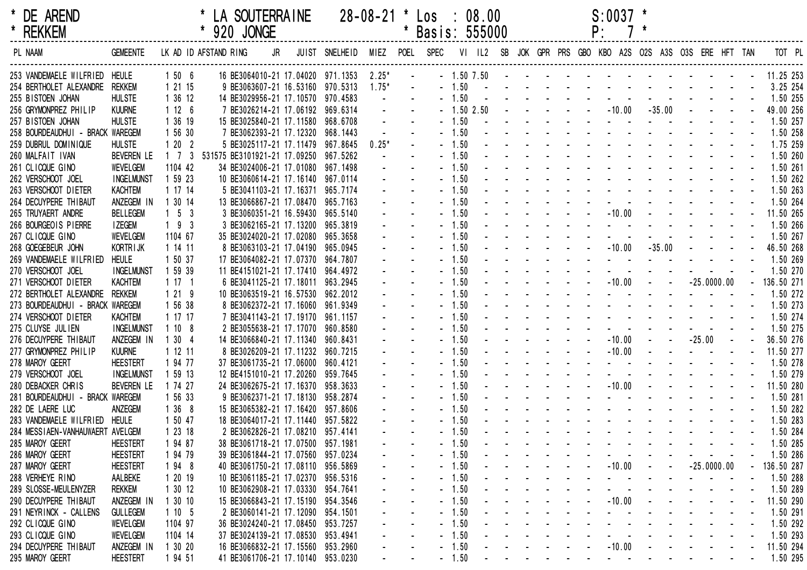| × | <b>DE AREN</b> |
|---|----------------|
| × | <b>RFKKFM</b>  |

| <b>REKKEM</b>                    |                   |            |                   |                       | * 920 JONGE |                                         |                |         |                             | Basis: 555000 |             |            |                                                                                              |                            | ۲:                   |                                                                                                                                                                                                                                |                                                                                         |               |  |              |  |
|----------------------------------|-------------------|------------|-------------------|-----------------------|-------------|-----------------------------------------|----------------|---------|-----------------------------|---------------|-------------|------------|----------------------------------------------------------------------------------------------|----------------------------|----------------------|--------------------------------------------------------------------------------------------------------------------------------------------------------------------------------------------------------------------------------|-----------------------------------------------------------------------------------------|---------------|--|--------------|--|
| PL NAAM                          | <b>GEMEENTE</b>   |            |                   | LK AD ID AFSTAND RING |             | JR                                      | JUIST SNELHEID |         | MIEZ POEL SPEC              |               |             |            |                                                                                              |                            |                      | VI IL2 SB JOK GPR PRS GBO KBO A2S O2S A3S O3S ERE HFT TAN                                                                                                                                                                      |                                                                                         |               |  | TOT PL       |  |
| 253 VANDEMAELE WILFRIED HEULE    |                   |            | 1506              |                       |             | 16 BE3064010-21 17.04020 971.1353       |                | $2.25*$ | $\mathcal{L}_{\mathcal{A}}$ |               |             |            |                                                                                              |                            |                      |                                                                                                                                                                                                                                |                                                                                         |               |  |              |  |
| 254 BERTHOLET ALEXANDRE REKKEM   |                   |            | 1 21 15           |                       |             | 9 BE3063607-21 16.53160 970.5313        |                | $1.75*$ |                             |               | $-1.50$     |            |                                                                                              |                            |                      | the contract of the contract of the contract of the contract of the contract of the contract of the contract of                                                                                                                |                                                                                         |               |  | 3.25 254     |  |
| 255 BISTOEN JOHAN                | <b>HULSTE</b>     |            | 1 36 12           |                       |             | 14 BE3029956-21 17.10570 970.4583       |                |         |                             |               | $-1.50$     | $\sim 100$ |                                                                                              |                            |                      | the contract of the contract of the contract of                                                                                                                                                                                |                                                                                         |               |  | 1.50 255     |  |
| 256 GRYMONPREZ PHILIP            | <b>KUURNE</b>     |            | 1126              |                       |             | 7 BE3026214-21 17.06192 969.6314        |                |         |                             |               | $-1.502.50$ |            | and the state of the state                                                                   |                            | $-10.00$             | $-35.00$                                                                                                                                                                                                                       | $\sim 10^{-1}$ and $\sim 10^{-1}$                                                       |               |  | 49.00 256    |  |
| 257 BISTOEN JOHAN                | <b>HULSTE</b>     |            | 1 36 19           |                       |             | 15 BE3025840-21 17.11580 968.6708       |                |         |                             |               | $-1.50$     |            |                                                                                              | the company of the company | <b>Service</b> State | and the state of the state of the                                                                                                                                                                                              |                                                                                         |               |  | 1.50 257     |  |
| 258 BOURDEAUDHUI - BRACK WAREGEM |                   |            | 1 56 30           |                       |             | 7 BE3062393-21 17.12320 968.1443        |                |         |                             |               | $-1.50$     |            |                                                                                              |                            |                      | the second contract of the second contract of                                                                                                                                                                                  |                                                                                         |               |  | 1.50 258     |  |
| 259 DUBRUL DOMINIQUE             | <b>HULSTE</b>     | 120        | $\overline{2}$    |                       |             | 5 BE3025117-21 17.11479 967.8645        |                | $0.25*$ |                             |               | $-1.50$     |            |                                                                                              |                            |                      | and a series of the contract of the series of                                                                                                                                                                                  |                                                                                         |               |  | 1.75 259     |  |
| 260 MALFAIT IVAN                 | BEVEREN LE        | $1\quad 7$ |                   |                       |             | 3 531575 BE3101921-21 17.09250 967.5262 |                |         |                             |               | $-1.50$     |            |                                                                                              |                            |                      | the second contract of the second contract of                                                                                                                                                                                  |                                                                                         |               |  | 1.50 260     |  |
| 261 CLICQUE GINO                 | <b>WEVELGEM</b>   |            | 1104 42           |                       |             | 34 BE3024006-21 17.01080 967.1498       |                |         |                             |               | $-1.50$     |            |                                                                                              |                            |                      | the second contract of the second contract of                                                                                                                                                                                  |                                                                                         |               |  | 1.50 261     |  |
| 262 VERSCHOOT JOEL               | <b>INGELMUNST</b> |            | 1 59 23           |                       |             | 10 BE3060614-21 17.16140 967.0114       |                |         |                             |               | $-1.50$     |            |                                                                                              |                            |                      | the contract of the contract of the contract of                                                                                                                                                                                |                                                                                         |               |  | 1.50 262     |  |
| 263 VERSCHOOT DIETER             | <b>KACHTEM</b>    |            | 1 17 14           |                       |             | 5 BE3041103-21 17.16371 965.7174        |                |         |                             |               | $-1.50$     |            |                                                                                              |                            |                      | the second contract of the second contract of                                                                                                                                                                                  |                                                                                         |               |  | 1.50 263     |  |
| 264 DECUYPERE THIBAUT            | ANZEGEM IN        |            | 1 30 14           |                       |             | 13 BE3066867-21 17.08470 965.7163       |                |         |                             |               | $-1.50$     |            |                                                                                              |                            |                      | and a state of the state of the state of                                                                                                                                                                                       |                                                                                         |               |  | 1.50 264     |  |
| 265 TRUYAERT ANDRE               | <b>BELLEGEM</b>   |            | $1\quad 5\quad 3$ |                       |             | 3 BE3060351-21 16.59430 965.5140        |                |         |                             |               | $-1.50$     |            |                                                                                              |                            | $-10.00$             | and the state of the state                                                                                                                                                                                                     |                                                                                         |               |  | 11.50 265    |  |
| 266 BOURGEOIS PIERRE             | <b>I ZEGEM</b>    |            | 193               |                       |             | 3 BE3062165-21 17.13200 965.3819        |                |         |                             |               | $-1.50$     |            |                                                                                              |                            | $\Delta \phi = 0.01$ | القارب فالمتوارث والمناور                                                                                                                                                                                                      |                                                                                         |               |  | 1.50 266     |  |
| 267 CLICQUE GINO                 | <b>WEVELGEM</b>   |            | 1104 67           |                       |             | 35 BE3024020-21 17.02080 965.3658       |                |         |                             |               | $-1.50$     |            |                                                                                              |                            |                      |                                                                                                                                                                                                                                |                                                                                         |               |  | 1.50 267     |  |
| 268 GOEGEBEUR JOHN               | KORTR I JK        |            | 1 14 11           |                       |             | 8 BE3063103-21 17.04190 965.0945        |                |         |                             |               | $-1.50$     |            | and the company of the                                                                       |                            | $-10.00$             | $-35.00$                                                                                                                                                                                                                       | $\sim 10^{-10}$                                                                         |               |  | 46.50 268    |  |
| 269 VANDEMAELE WILFRIED          | <b>HEULE</b>      |            | 1 50 37           |                       |             | 17 BE3064082-21 17.07370 964.7807       |                |         |                             |               | $-1.50$     |            |                                                                                              |                            | $\Delta \phi = 0.01$ | $\mathbf{L}^{\text{max}}$ , and $\mathbf{L}^{\text{max}}$                                                                                                                                                                      |                                                                                         |               |  | 1.50 269     |  |
| 270 VERSCHOOT JOEL               | <b>INGELMUNST</b> |            | 1 59 39           |                       |             | 11 BE4151021-21 17.17410 964.4972       |                |         |                             |               | $-1.50$     |            | and the state of the state of the                                                            |                            | $\Delta \phi = 0.01$ |                                                                                                                                                                                                                                |                                                                                         |               |  | 1.50 270     |  |
| 271 VERSCHOOT DIETER             | <b>KACHTEM</b>    |            | 1171              |                       |             | 6 BE3041125-21 17.18011 963.2945        |                |         |                             |               | $-1.50$     |            |                                                                                              |                            | $-10.00$             | $\mathcal{L}(\mathbf{u})$ and $\mathcal{L}(\mathbf{u})$                                                                                                                                                                        |                                                                                         | $-25.0000.00$ |  | 136.50 271   |  |
| 272 BERTHOLET ALEXANDRE          | Rekkem            |            | 1219              |                       |             | 10 BE3063519-21 16.57530 962.2012       |                |         |                             |               | $-1.50$     |            |                                                                                              |                            |                      | the contract of the contract of the con-                                                                                                                                                                                       |                                                                                         |               |  | 1.50 272     |  |
| 273 BOURDEAUDHUI - BRACK WAREGEM |                   |            | 1 56 38           |                       |             | 8 BE3062372-21 17.16060 961.9349        |                |         |                             |               | $-1.50$     |            |                                                                                              |                            |                      | and the contract of the contract of                                                                                                                                                                                            |                                                                                         |               |  | 1.50 273     |  |
| 274 VERSCHOOT DIETER             | <b>KACHTEM</b>    |            | 1 17 17           |                       |             | 7 BE3041143-21 17.19170 961.1157        |                |         |                             |               | $-1.50$     |            |                                                                                              |                            |                      | the contract of the contract of the contract of                                                                                                                                                                                |                                                                                         |               |  | 1.50 274     |  |
| 275 CLUYSE JULIEN                | <b>INGELMUNST</b> |            | 1108              |                       |             | 2 BE3055638-21 17.17070 960.8580        |                |         |                             |               | $-1.50$     |            | and the state of the state of the                                                            |                            |                      |                                                                                                                                                                                                                                |                                                                                         |               |  | 1.50 275     |  |
| 276 DECUYPERE THIBAUT            | ANZEGEM IN        |            | 1304              |                       |             | 14 BE3066840-21 17.11340 960.8431       |                |         |                             |               | $-1.50$     |            |                                                                                              |                            | $-10.00$             |                                                                                                                                                                                                                                |                                                                                         | $-25.00$      |  | 36.50 276    |  |
| 277 GRYMONPREZ PHILIP            | <b>KUURNE</b>     |            | 1 12 11           |                       |             | 8 BE3026209-21 17.11232 960.7215        |                |         |                             |               | $-1.50$     |            |                                                                                              |                            | $-10.00$             |                                                                                                                                                                                                                                |                                                                                         |               |  | 11.50 277    |  |
| 278 MAROY GEERT                  | <b>HEESTERT</b>   |            | 1 94 77           |                       |             | 37 BE3061735-21 17.06000 960.4121       |                |         |                             |               | $-1.50$     |            | and the state of the state of the                                                            |                            |                      | and a straight and a straight                                                                                                                                                                                                  |                                                                                         |               |  | 1.50 278     |  |
| 279 VERSCHOOT JOEL               | <b>INGELMUNST</b> |            | 1 59 13           |                       |             | 12 BE4151010-21 17.20260 959.7645       |                |         |                             |               | $-1.50$     |            |                                                                                              |                            |                      |                                                                                                                                                                                                                                |                                                                                         |               |  | 1.50 279     |  |
| 280 DEBACKER CHRIS               | BEVEREN LE        |            | 1 74 27           |                       |             | 24 BE3062675-21 17.16370 958.3633       |                |         |                             |               | $-1.50$     |            |                                                                                              |                            | $-10.00$             |                                                                                                                                                                                                                                | $\mathcal{L}^{\text{max}}_{\text{max}}$ , where $\mathcal{L}^{\text{max}}_{\text{max}}$ |               |  | 11.50 280    |  |
| 281 BOURDEAUDHUI - BRACK WAREGEM |                   |            | 1 56 33           |                       |             | 9 BE3062371-21 17.18130 958.2874        |                |         |                             |               | $-1.50$     |            |                                                                                              |                            |                      | the contract of the contract of the contract of                                                                                                                                                                                |                                                                                         |               |  | 1.50 281     |  |
| 282 DE LAERE LUC                 | ANZEGEM           |            | 1368              |                       |             | 15 BE3065382-21 17.16420 957.8606       |                |         |                             |               | $-1.50$     |            |                                                                                              |                            |                      | the second contract of the second contract of the second contract of the second contract of the second contract of the second contract of the second contract of the second contract of the second contract of the second cont |                                                                                         |               |  | 1.50 282     |  |
| 283 VANDEMAELE WILFRIED          | HEULE             |            | 1 50 47           |                       |             | 18 BE3064017-21 17.11440 957.5822       |                |         |                             |               | $-1.50$     |            |                                                                                              |                            |                      | the second contract of the second contract of                                                                                                                                                                                  |                                                                                         |               |  | 1.50 283     |  |
| 284 MESSIAEN-VANHAUWAERT AVELGEM |                   |            | 1 23 18           |                       |             | 2 BE3062826-21 17.08210 957.4141        |                |         |                             |               | $-1.50$     |            |                                                                                              |                            |                      | the second contract of the second contract of                                                                                                                                                                                  |                                                                                         |               |  | 1.50 284     |  |
| 285 MAROY GEERT                  | <b>HEESTERT</b>   |            | 1 94 87           |                       |             | 38 BE3061718-21 17.07500 957.1981       |                |         |                             |               | $-1.50$     |            |                                                                                              |                            |                      | the contract of the contract of the contract of the contract of the contract of the contract of the contract of the contract of the contract of the contract of the contract of the contract of the contract of the contract o |                                                                                         |               |  | 1.50 285     |  |
| 286 MAROY GEERT                  | <b>HEESTERT</b>   |            | 1 94 79           |                       |             | 39 BE3061844-21 17.07560 957.0234       |                |         |                             |               | $-1.50$     |            |                                                                                              |                            |                      |                                                                                                                                                                                                                                |                                                                                         |               |  | 1.50 286     |  |
| 287 MAROY GEERT                  | <b>HEESTERT</b>   |            | 1948              |                       |             | 40 BE3061750-21 17.08110 956.5869       |                |         |                             |               | $-1.50$     |            |                                                                                              |                            | $-10.00$             | $   -$ 25.0000.00                                                                                                                                                                                                              |                                                                                         |               |  | $-136.50287$ |  |
| 288 VERHEYE RINO                 | AALBEKE           |            | 1 20 19           |                       |             | 10 BE3061185-21 17.02370 956.5316       |                |         |                             |               | $-1.50$     |            |                                                                                              |                            |                      |                                                                                                                                                                                                                                |                                                                                         |               |  | 1.50 288     |  |
| 289 SLOSSE-MEULENYZER            | <b>REKKEM</b>     |            | 1 30 12           |                       |             | 10 BE3062908-21 17.03330 954.7641       |                |         |                             |               | $-1.50$     |            |                                                                                              |                            |                      |                                                                                                                                                                                                                                |                                                                                         |               |  | 1.50 289     |  |
| 290 DECUYPERE THIBAUT            | ANZEGEM IN        |            | 1 30 10           |                       |             | 15 BE3066843-21 17.15190 954.3546       |                |         |                             |               | $-1.50$     |            | $\mathcal{L}(\mathcal{L})$ , and $\mathcal{L}(\mathcal{L})$ , and $\mathcal{L}(\mathcal{L})$ |                            | $-10.00$             |                                                                                                                                                                                                                                |                                                                                         |               |  | 11.50 290    |  |
| 291 NEYRINCK - CALLENS           | <b>GULLEGEM</b>   |            | 1105              |                       |             | 2 BE3060141-21 17.12090 954.1501        |                |         |                             |               | $-1.50$     |            |                                                                                              |                            |                      |                                                                                                                                                                                                                                |                                                                                         |               |  | 1.50 291     |  |
| 292 CLICQUE GINO                 | <b>WEVELGEM</b>   |            | 1104 97           |                       |             | 36 BE3024240-21 17.08450 953.7257       |                |         |                             |               | $-1.50$     |            |                                                                                              |                            |                      |                                                                                                                                                                                                                                |                                                                                         |               |  | 1.50 292     |  |
| 293 CLICQUE GINO                 | WEVELGEM          |            | 1104 14           |                       |             | 37 BE3024139-21 17.08530 953.4941       |                |         |                             |               | $-1.50$     |            |                                                                                              |                            |                      |                                                                                                                                                                                                                                |                                                                                         |               |  | 1.50 293     |  |
| 294 DECUYPERE THIBAUT            | ANZEGEM IN        |            | 1 30 20           |                       |             | 16 BE3066832-21 17.15560 953.2960       |                |         |                             |               | $-1.50$     |            |                                                                                              |                            | $-10.00$             |                                                                                                                                                                                                                                |                                                                                         |               |  | 11.50 294    |  |
| 295 MAROY GEERT                  | <b>HEESTERT</b>   |            | 1 94 51           |                       |             | 41 BE3061706-21 17.10140 953.0230       |                |         |                             |               | $-1.50$     |            |                                                                                              |                            |                      | المنابعة والمستنقل والمستنقل والمستنقل والمستنقل والمستنقلة                                                                                                                                                                    |                                                                                         |               |  | 1.50 295     |  |